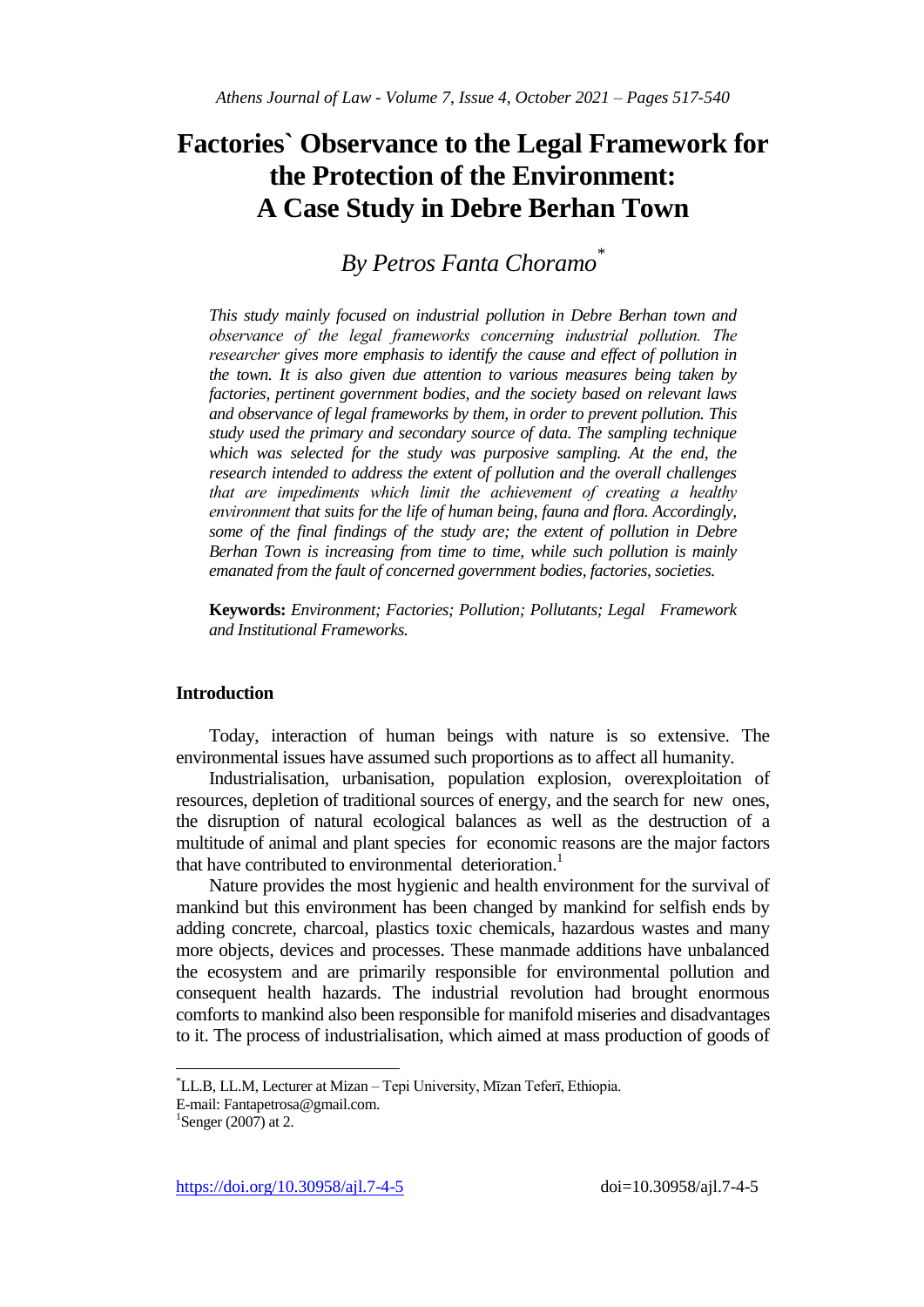# **Factories` Observance to the Legal Framework for the Protection of the Environment: A Case Study in Debre Berhan Town**

*By Petros Fanta Choramo\**

*This study mainly focused on industrial pollution in Debre Berhan town and observance of the legal frameworks concerning industrial pollution. The researcher gives more emphasis to identify the cause and effect of pollution in the town. It is also given due attention to various measures being taken by factories, pertinent government bodies, and the society based on relevant laws and observance of legal frameworks by them, in order to prevent pollution. This study used the primary and secondary source of data. The sampling technique which was selected for the study was purposive sampling. At the end, the research intended to address the extent of pollution and the overall challenges that are impediments which limit the achievement of creating a healthy environment that suits for the life of human being, fauna and flora. Accordingly, some of the final findings of the study are; the extent of pollution in Debre Berhan Town is increasing from time to time, while such pollution is mainly emanated from the fault of concerned government bodies, factories, societies.*

**Keywords:** *Environment; Factories; Pollution; Pollutants; Legal Framework and Institutional Frameworks.*

# **Introduction**

Today, interaction of human beings with nature is so extensive. The environmental issues have assumed such proportions as to affect all humanity.

Industrialisation, urbanisation, population explosion, overexploitation of resources, depletion of traditional sources of energy, and the search for new ones, the disruption of natural ecological balances as well as the destruction of a multitude of animal and plant species for economic reasons are the major factors that have contributed to environmental deterioration.<sup>1</sup>

Nature provides the most hygienic and health environment for the survival of mankind but this environment has been changed by mankind for selfish ends by adding concrete, charcoal, plastics toxic chemicals, hazardous wastes and many more objects, devices and processes. These manmade additions have unbalanced the ecosystem and are primarily responsible for environmental pollution and consequent health hazards. The industrial revolution had brought enormous comforts to mankind also been responsible for manifold miseries and disadvantages to it. The process of industrialisation, which aimed at mass production of goods of

<sup>\*</sup>LL.B, LL.M, Lecturer at Mizan – Tepi University, Mīzan Teferī, Ethiopia.

E-mail: Fantapetrosa@gmail.com.

<sup>&</sup>lt;sup>1</sup>Senger (2007) at 2.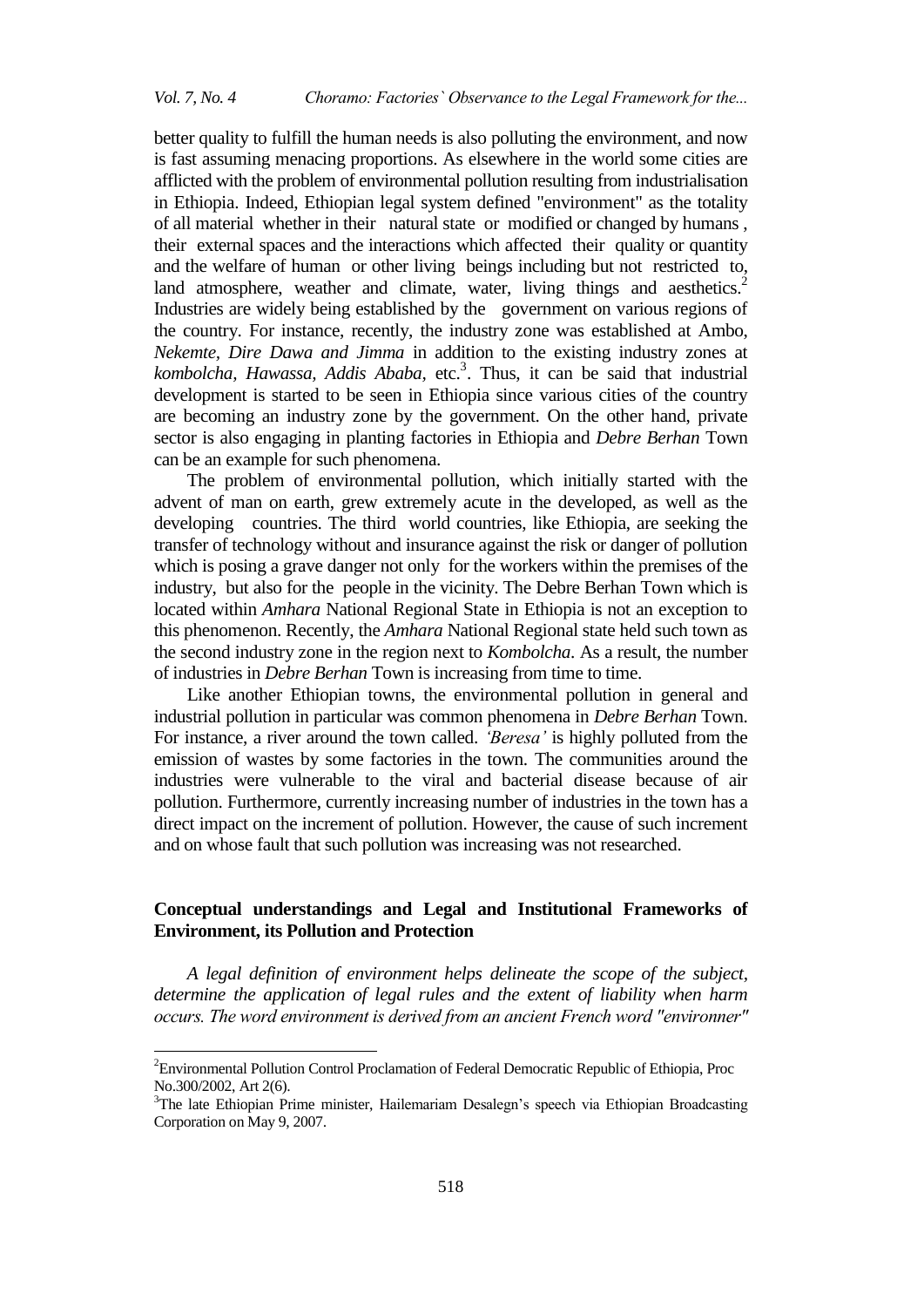better quality to fulfill the human needs is also polluting the environment, and now is fast assuming menacing proportions. As elsewhere in the world some cities are afflicted with the problem of environmental pollution resulting from industrialisation in Ethiopia. Indeed, Ethiopian legal system defined "environment" as the totality of all material whether in their natural state or modified or changed by humans , their external spaces and the interactions which affected their quality or quantity and the welfare of human or other living beings including but not restricted to, land atmosphere, weather and climate, water, living things and aesthetics.<sup>2</sup> Industries are widely being established by the government on various regions of the country. For instance, recently, the industry zone was established at Ambo, *Nekemte, Dire Dawa and Jimma* in addition to the existing industry zones at kombolcha, Hawassa, Addis Ababa, etc.<sup>3</sup>. Thus, it can be said that industrial development is started to be seen in Ethiopia since various cities of the country are becoming an industry zone by the government. On the other hand, private sector is also engaging in planting factories in Ethiopia and *Debre Berhan* Town can be an example for such phenomena.

The problem of environmental pollution, which initially started with the advent of man on earth, grew extremely acute in the developed, as well as the developing countries. The third world countries, like Ethiopia, are seeking the transfer of technology without and insurance against the risk or danger of pollution which is posing a grave danger not only for the workers within the premises of the industry, but also for the people in the vicinity. The Debre Berhan Town which is located within *Amhara* National Regional State in Ethiopia is not an exception to this phenomenon. Recently, the *Amhara* National Regional state held such town as the second industry zone in the region next to *Kombolcha*. As a result, the number of industries in *Debre Berhan* Town is increasing from time to time.

Like another Ethiopian towns, the environmental pollution in general and industrial pollution in particular was common phenomena in *Debre Berhan* Town. For instance, a river around the town called. *"Beresa"* is highly polluted from the emission of wastes by some factories in the town. The communities around the industries were vulnerable to the viral and bacterial disease because of air pollution. Furthermore, currently increasing number of industries in the town has a direct impact on the increment of pollution. However, the cause of such increment and on whose fault that such pollution was increasing was not researched.

# **Conceptual understandings and Legal and Institutional Frameworks of Environment, its Pollution and Protection**

*A legal definition of environment helps delineate the scope of the subject, determine the application of legal rules and the extent of liability when harm occurs. The word environment is derived from an ancient French word "environner"* 

 $\ddot{\phantom{a}}$ 

<sup>2</sup>Environmental Pollution Control Proclamation of Federal Democratic Republic of Ethiopia, Proc No.300/2002, Art 2(6).

<sup>&</sup>lt;sup>3</sup>The late Ethiopian Prime minister, Hailemariam Desalegn's speech via Ethiopian Broadcasting Corporation on May 9, 2007.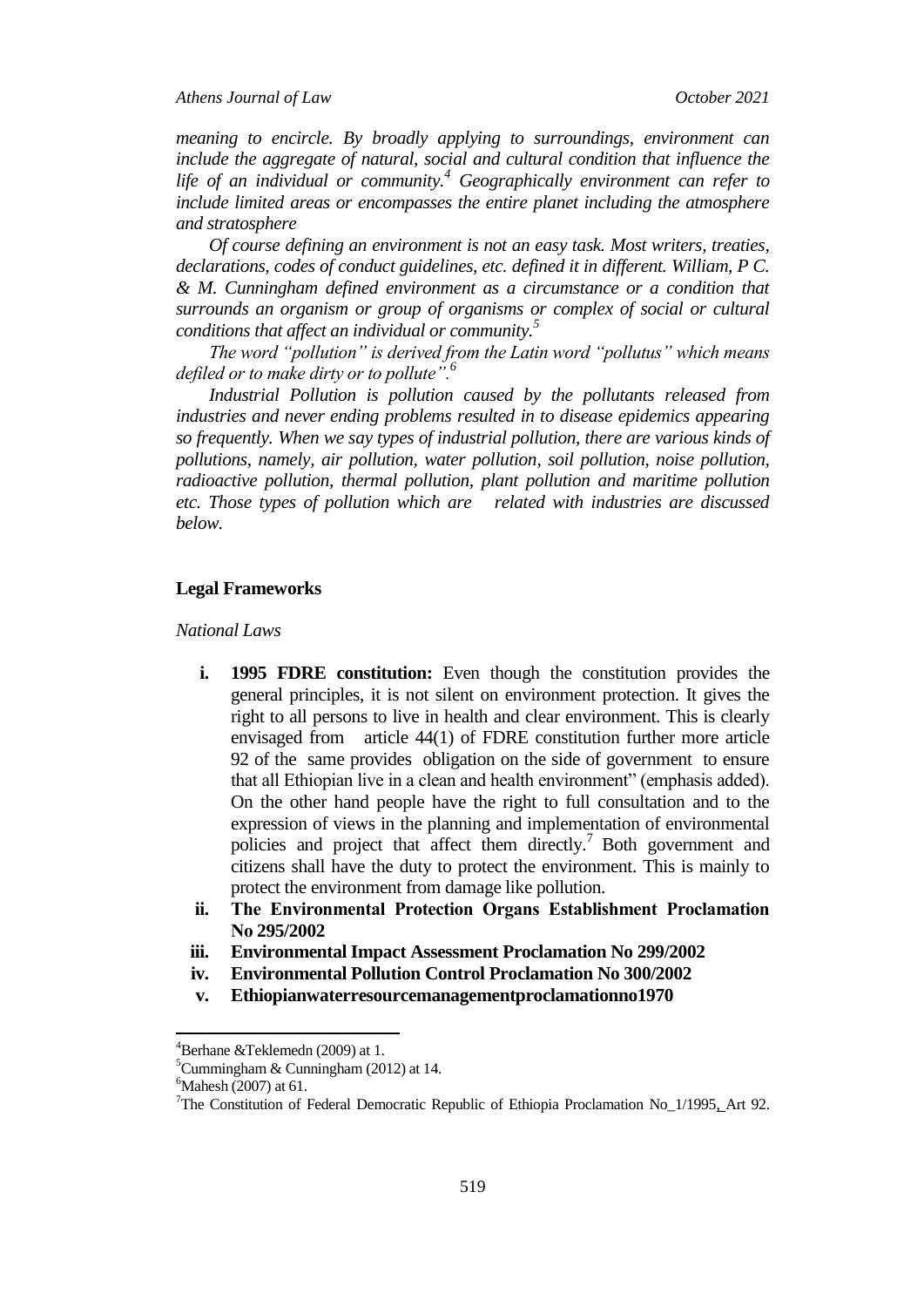*meaning to encircle. By broadly applying to surroundings, environment can include the aggregate of natural, social and cultural condition that influence the life of an individual or community.<sup>4</sup> Geographically environment can refer to include limited areas or encompasses the entire planet including the atmosphere and stratosphere*

*Of course defining an environment is not an easy task. Most writers, treaties, declarations, codes of conduct guidelines, etc. defined it in different. William, P C. & M. Cunningham defined environment as a circumstance or a condition that surrounds an organism or group of organisms or complex of social or cultural conditions that affect an individual or community.<sup>5</sup>*

*The word "pollution" is derived from the Latin word "pollutus" which means defiled or to make dirty or to pollute".<sup>6</sup>*

*Industrial Pollution is pollution caused by the pollutants released from industries and never ending problems resulted in to disease epidemics appearing so frequently. When we say types of industrial pollution, there are various kinds of pollutions, namely, air pollution, water pollution, soil pollution, noise pollution, radioactive pollution, thermal pollution, plant pollution and maritime pollution etc. Those types of pollution which are related with industries are discussed below.* 

# **Legal Frameworks**

#### *National Laws*

- **i. 1995 FDRE constitution:** Even though the constitution provides the general principles, it is not silent on environment protection. It gives the right to all persons to live in health and clear environment. This is clearly envisaged from article 44(1) of FDRE constitution further more article 92 of the same provides obligation on the side of government to ensure that all Ethiopian live in a clean and health environment" (emphasis added). On the other hand people have the right to full consultation and to the expression of views in the planning and implementation of environmental policies and project that affect them directly.<sup>7</sup> Both government and citizens shall have the duty to protect the environment. This is mainly to protect the environment from damage like pollution.
- **ii. The Environmental Protection Organs Establishment Proclamation No 295/2002**
- **iii. Environmental Impact Assessment Proclamation No 299/2002**
- **iv. Environmental Pollution Control Proclamation No 300/2002**
- **v. Ethiopianwaterresourcemanagementproclamationno1970**

 $4B$ erhane &Teklemedn (2009) at 1.

<sup>5</sup>Cummingham & Cunningham (2012) at 14.

 $^{6}$ Mahesh (2007) at 61.

<sup>&</sup>lt;sup>7</sup>The Constitution of Federal Democratic Republic of Ethiopia Proclamation No<sub>-1</sub>/1995<sub>1</sub> Art 92.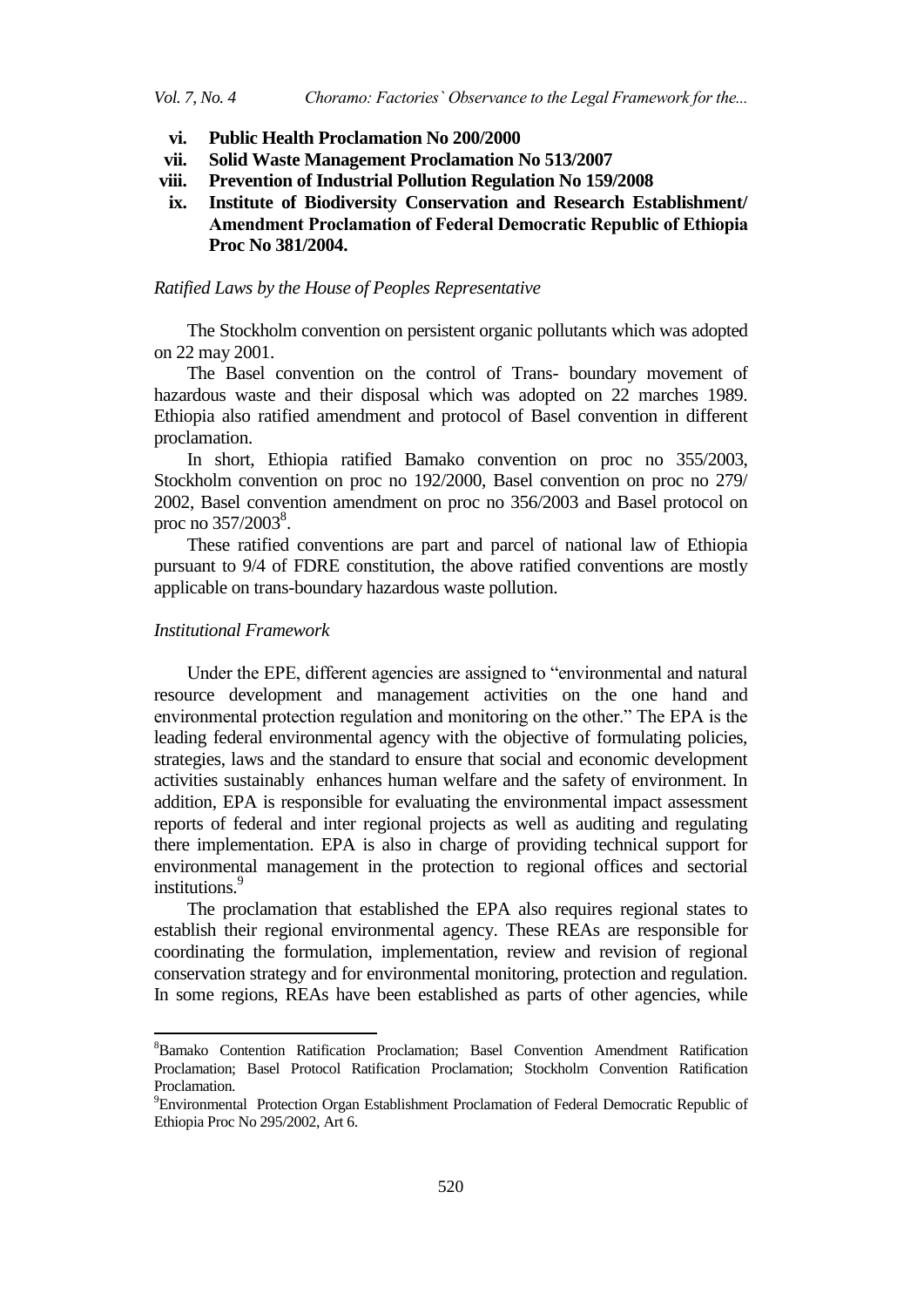- **vi. Public Health Proclamation No 200/2000**
- **vii. Solid Waste Management Proclamation No 513/2007**
- **viii. Prevention of Industrial Pollution Regulation No 159/2008**
- **ix. Institute of Biodiversity Conservation and Research Establishment/ Amendment Proclamation of Federal Democratic Republic of Ethiopia Proc No 381/2004.**

# *Ratified Laws by the House of Peoples Representative*

The Stockholm convention on persistent organic pollutants which was adopted on 22 may 2001.

The Basel convention on the control of Trans- boundary movement of hazardous waste and their disposal which was adopted on 22 marches 1989. Ethiopia also ratified amendment and protocol of Basel convention in different proclamation.

In short, Ethiopia ratified Bamako convention on proc no 355/2003, Stockholm convention on proc no 192/2000, Basel convention on proc no 279/ 2002, Basel convention amendment on proc no 356/2003 and Basel protocol on proc no  $357/2003^8$ .

These ratified conventions are part and parcel of national law of Ethiopia pursuant to 9/4 of FDRE constitution, the above ratified conventions are mostly applicable on trans-boundary hazardous waste pollution.

# *Institutional Framework*

 $\ddot{\phantom{a}}$ 

Under the EPE, different agencies are assigned to "environmental and natural resource development and management activities on the one hand and environmental protection regulation and monitoring on the other." The EPA is the leading federal environmental agency with the objective of formulating policies, strategies, laws and the standard to ensure that social and economic development activities sustainably enhances human welfare and the safety of environment. In addition, EPA is responsible for evaluating the environmental impact assessment reports of federal and inter regional projects as well as auditing and regulating there implementation. EPA is also in charge of providing technical support for environmental management in the protection to regional offices and sectorial institutions.<sup>9</sup>

The proclamation that established the EPA also requires regional states to establish their regional environmental agency. These REAs are responsible for coordinating the formulation, implementation, review and revision of regional conservation strategy and for environmental monitoring, protection and regulation. In some regions, REAs have been established as parts of other agencies, while

<sup>8</sup>Bamako Contention Ratification Proclamation; Basel Convention Amendment Ratification Proclamation; Basel Protocol Ratification Proclamation; Stockholm Convention Ratification Proclamation.

<sup>9</sup>Environmental Protection Organ Establishment Proclamation of Federal Democratic Republic of Ethiopia Proc No 295/2002, Art 6.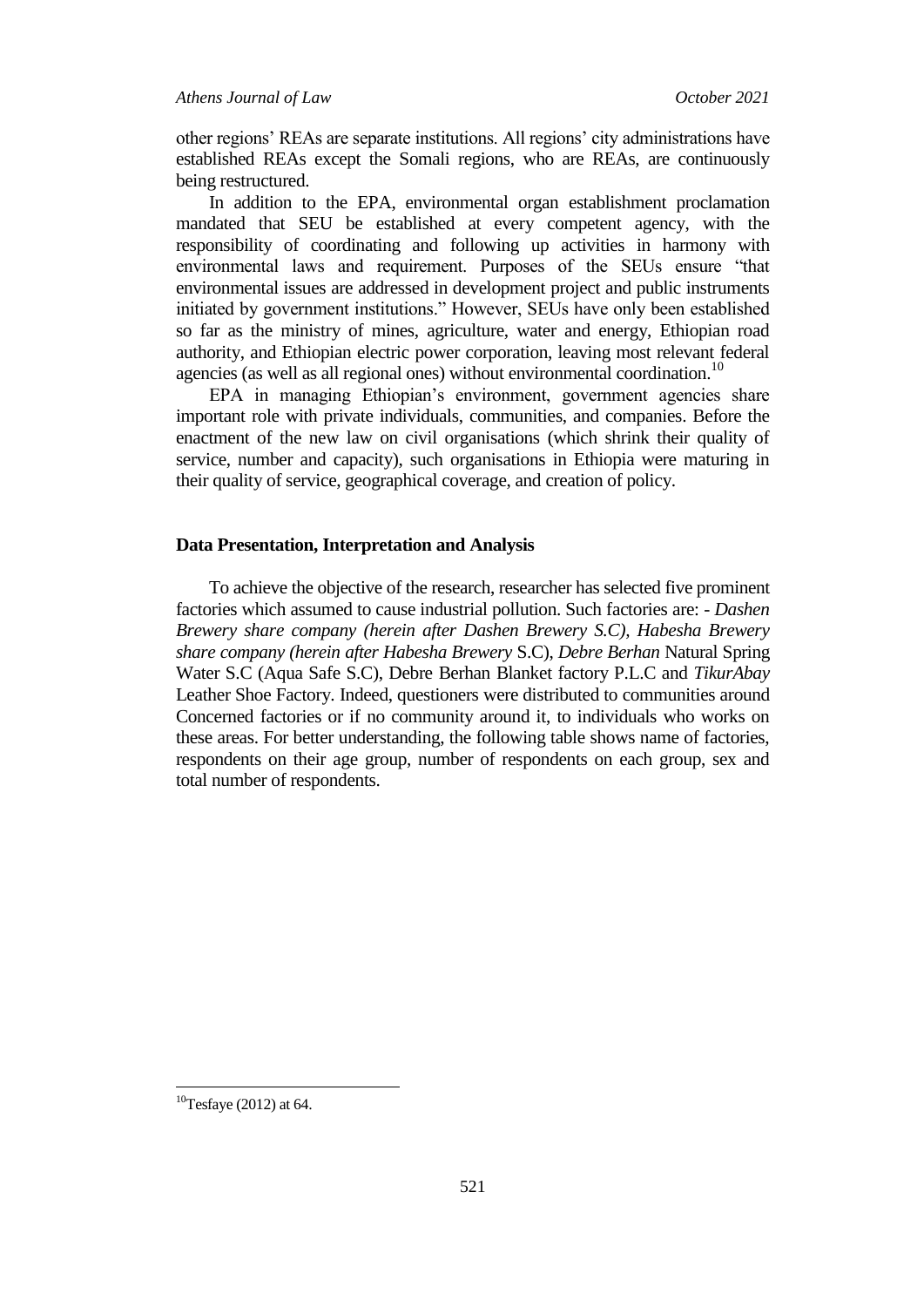other regions" REAs are separate institutions. All regions" city administrations have established REAs except the Somali regions, who are REAs, are continuously being restructured.

In addition to the EPA, environmental organ establishment proclamation mandated that SEU be established at every competent agency, with the responsibility of coordinating and following up activities in harmony with environmental laws and requirement. Purposes of the SEUs ensure "that environmental issues are addressed in development project and public instruments initiated by government institutions." However, SEUs have only been established so far as the ministry of mines, agriculture, water and energy, Ethiopian road authority, and Ethiopian electric power corporation, leaving most relevant federal agencies (as well as all regional ones) without environmental coordination.<sup>10</sup>

EPA in managing Ethiopian's environment, government agencies share important role with private individuals, communities, and companies. Before the enactment of the new law on civil organisations (which shrink their quality of service, number and capacity), such organisations in Ethiopia were maturing in their quality of service, geographical coverage, and creation of policy.

# **Data Presentation, Interpretation and Analysis**

To achieve the objective of the research, researcher has selected five prominent factories which assumed to cause industrial pollution. Such factories are: - *Dashen Brewery share company (herein after Dashen Brewery S.C), Habesha Brewery share company (herein after Habesha Brewery* S.C), *Debre Berhan* Natural Spring Water S.C (Aqua Safe S.C), Debre Berhan Blanket factory P.L.C and *TikurAbay* Leather Shoe Factory. Indeed, questioners were distributed to communities around Concerned factories or if no community around it, to individuals who works on these areas. For better understanding, the following table shows name of factories, respondents on their age group, number of respondents on each group, sex and total number of respondents.

 $\overline{\phantom{a}}$ 

 $10$ Tesfaye (2012) at 64.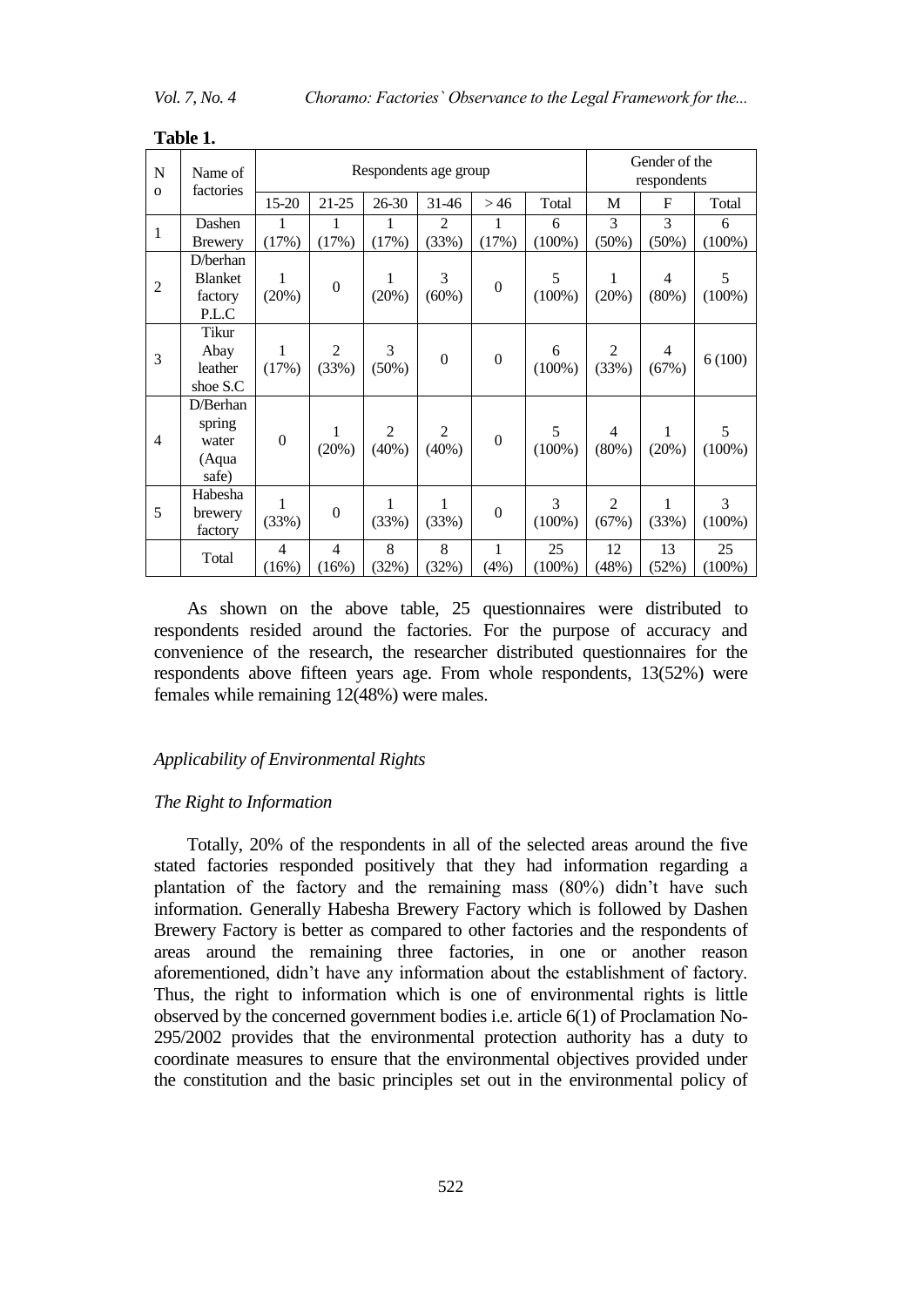| $\mathbf N$<br>$\mathbf{o}$ | Name of<br>factories                           |                         | Respondents age group   |                         |                            |                  |                 | Gender of the<br>respondents |               |                             |  |
|-----------------------------|------------------------------------------------|-------------------------|-------------------------|-------------------------|----------------------------|------------------|-----------------|------------------------------|---------------|-----------------------------|--|
|                             |                                                | 15-20                   | $21 - 25$               | 26-30                   | 31-46                      | >46              | Total           | M                            | F             | Total                       |  |
| $\mathbf{1}$                | Dashen<br><b>Brewery</b>                       | 1<br>(17%)              | 1<br>(17%)              | 1<br>(17%)              | $\overline{2}$<br>(33%)    | 1<br>(17%)       | 6<br>$(100\%)$  | 3<br>(50%)                   | 3<br>$(50\%)$ | 6<br>$(100\%)$              |  |
| $\overline{2}$              | D/berhan<br><b>Blanket</b><br>factory<br>P.L.C | 1<br>(20%)              | $\overline{0}$          | (20%)                   | 3<br>(60%)                 | $\overline{0}$   | 5<br>$(100\%)$  | 1<br>(20%)                   | 4<br>(80%)    | 5<br>$(100\%)$              |  |
| 3                           | Tikur<br>Abay<br>leather<br>shoe S.C           | 1<br>(17%)              | $\overline{2}$<br>(33%) | 3<br>(50%)              | $\boldsymbol{0}$           | $\boldsymbol{0}$ | 6<br>$(100\%)$  | 2<br>(33%)                   | 4<br>(67%)    | 6(100)                      |  |
| $\overline{4}$              | D/Berhan<br>spring<br>water<br>(Aqua<br>safe)  | $\overline{0}$          | 1<br>(20%)              | $\overline{2}$<br>(40%) | $\overline{2}$<br>$(40\%)$ | $\boldsymbol{0}$ | 5<br>$(100\%)$  | $\overline{4}$<br>(80%)      | 1<br>(20%)    | 5<br>$(100\%)$              |  |
| 5                           | Habesha<br>brewery<br>factory                  | 1<br>(33%)              | $\overline{0}$          | 1<br>(33%)              | 1<br>(33%)                 | $\boldsymbol{0}$ | 3<br>$(100\%)$  | $\overline{2}$<br>(67%)      | 1<br>(33%)    | $\overline{3}$<br>$(100\%)$ |  |
|                             | Total                                          | $\overline{4}$<br>(16%) | $\overline{4}$<br>(16%) | 8<br>(32%)              | 8<br>(32%)                 | 1<br>(4%)        | 25<br>$(100\%)$ | 12<br>(48%)                  | 13<br>(52%)   | 25<br>$(100\%)$             |  |

**Table 1.**

As shown on the above table, 25 questionnaires were distributed to respondents resided around the factories. For the purpose of accuracy and convenience of the research, the researcher distributed questionnaires for the respondents above fifteen years age. From whole respondents, 13(52%) were females while remaining 12(48%) were males.

# *Applicability of Environmental Rights*

#### *The Right to Information*

Totally, 20% of the respondents in all of the selected areas around the five stated factories responded positively that they had information regarding a plantation of the factory and the remaining mass (80%) didn"t have such information. Generally Habesha Brewery Factory which is followed by Dashen Brewery Factory is better as compared to other factories and the respondents of areas around the remaining three factories, in one or another reason aforementioned, didn"t have any information about the establishment of factory. Thus, the right to information which is one of environmental rights is little observed by the concerned government bodies i.e. article 6(1) of Proclamation No-295/2002 provides that the environmental protection authority has a duty to coordinate measures to ensure that the environmental objectives provided under the constitution and the basic principles set out in the environmental policy of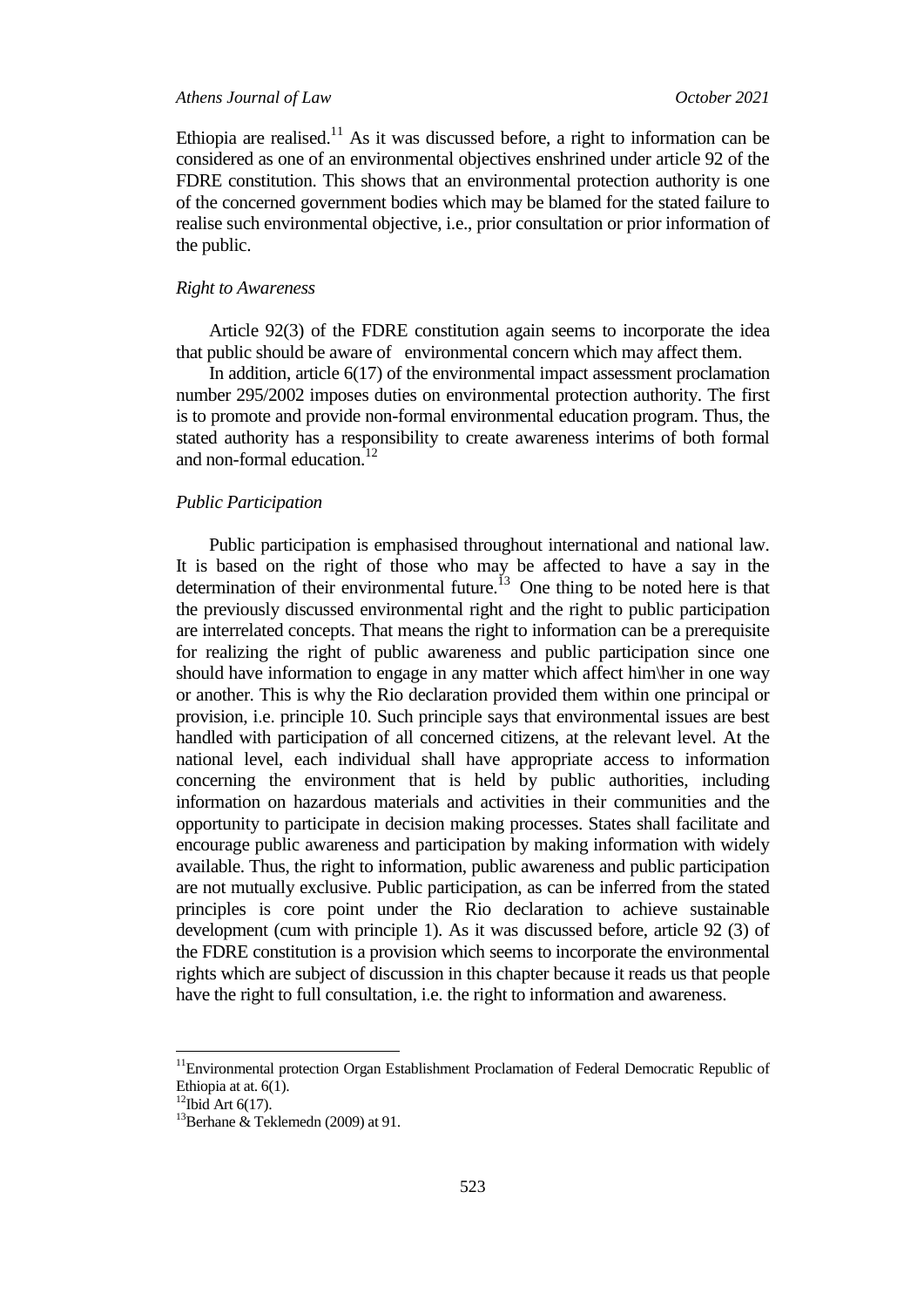Ethiopia are realised.<sup>11</sup> As it was discussed before, a right to information can be considered as one of an environmental objectives enshrined under article 92 of the FDRE constitution. This shows that an environmental protection authority is one of the concerned government bodies which may be blamed for the stated failure to realise such environmental objective, i.e., prior consultation or prior information of the public.

#### *Right to Awareness*

Article 92(3) of the FDRE constitution again seems to incorporate the idea that public should be aware of environmental concern which may affect them.

In addition, article 6(17) of the environmental impact assessment proclamation number 295/2002 imposes duties on environmental protection authority. The first is to promote and provide non-formal environmental education program. Thus, the stated authority has a responsibility to create awareness interims of both formal and non-formal education. $12$ 

# *Public Participation*

Public participation is emphasised throughout international and national law. It is based on the right of those who may be affected to have a say in the determination of their environmental future.<sup>13</sup> One thing to be noted here is that the previously discussed environmental right and the right to public participation are interrelated concepts. That means the right to information can be a prerequisite for realizing the right of public awareness and public participation since one should have information to engage in any matter which affect him\her in one way or another. This is why the Rio declaration provided them within one principal or provision, i.e. principle 10. Such principle says that environmental issues are best handled with participation of all concerned citizens, at the relevant level. At the national level, each individual shall have appropriate access to information concerning the environment that is held by public authorities, including information on hazardous materials and activities in their communities and the opportunity to participate in decision making processes. States shall facilitate and encourage public awareness and participation by making information with widely available. Thus, the right to information, public awareness and public participation are not mutually exclusive. Public participation, as can be inferred from the stated principles is core point under the Rio declaration to achieve sustainable development (cum with principle 1). As it was discussed before, article 92 (3) of the FDRE constitution is a provision which seems to incorporate the environmental rights which are subject of discussion in this chapter because it reads us that people have the right to full consultation, i.e. the right to information and awareness.

 $11$ Environmental protection Organ Establishment Proclamation of Federal Democratic Republic of Ethiopia at at. 6(1).

 $12$ Ibid Art 6(17).

 $13$ Berhane & Teklemedn (2009) at 91.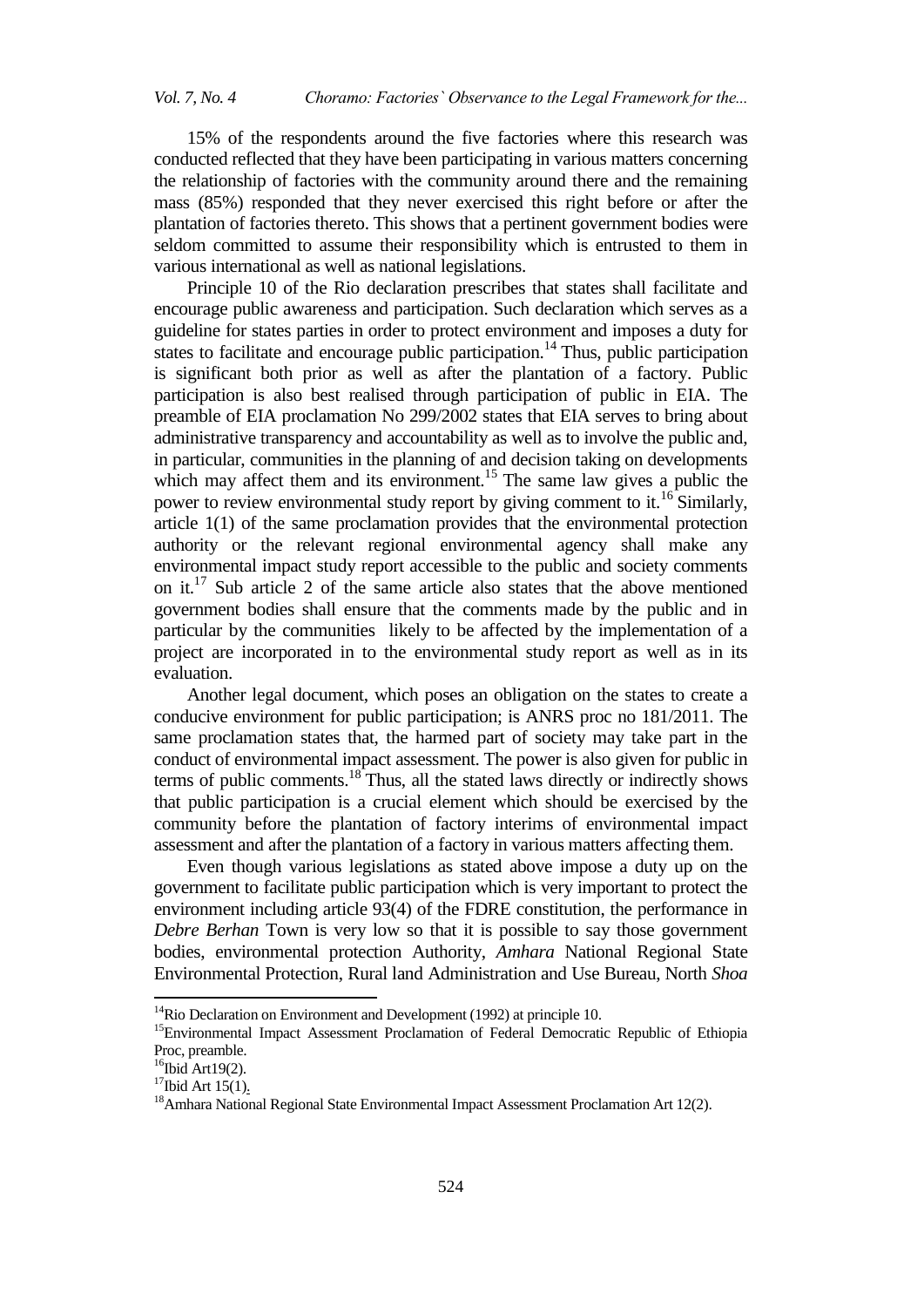15% of the respondents around the five factories where this research was conducted reflected that they have been participating in various matters concerning the relationship of factories with the community around there and the remaining mass (85%) responded that they never exercised this right before or after the plantation of factories thereto. This shows that a pertinent government bodies were seldom committed to assume their responsibility which is entrusted to them in various international as well as national legislations.

Principle 10 of the Rio declaration prescribes that states shall facilitate and encourage public awareness and participation. Such declaration which serves as a guideline for states parties in order to protect environment and imposes a duty for states to facilitate and encourage public participation.<sup>14</sup> Thus, public participation is significant both prior as well as after the plantation of a factory. Public participation is also best realised through participation of public in EIA. The preamble of EIA proclamation No 299/2002 states that EIA serves to bring about administrative transparency and accountability as well as to involve the public and, in particular, communities in the planning of and decision taking on developments which may affect them and its environment.<sup>15</sup> The same law gives a public the power to review environmental study report by giving comment to it.<sup>16</sup> Similarly, article 1(1) of the same proclamation provides that the environmental protection authority or the relevant regional environmental agency shall make any environmental impact study report accessible to the public and society comments on it.<sup>17</sup> Sub article 2 of the same article also states that the above mentioned government bodies shall ensure that the comments made by the public and in particular by the communities likely to be affected by the implementation of a project are incorporated in to the environmental study report as well as in its evaluation.

Another legal document, which poses an obligation on the states to create a conducive environment for public participation; is ANRS proc no 181/2011. The same proclamation states that, the harmed part of society may take part in the conduct of environmental impact assessment. The power is also given for public in terms of public comments. $18$  Thus, all the stated laws directly or indirectly shows that public participation is a crucial element which should be exercised by the community before the plantation of factory interims of environmental impact assessment and after the plantation of a factory in various matters affecting them.

Even though various legislations as stated above impose a duty up on the government to facilitate public participation which is very important to protect the environment including article 93(4) of the FDRE constitution, the performance in *Debre Berhan* Town is very low so that it is possible to say those government bodies, environmental protection Authority, *Amhara* National Regional State Environmental Protection, Rural land Administration and Use Bureau, North *Shoa*

1

<sup>&</sup>lt;sup>14</sup>Rio Declaration on Environment and Development (1992) at principle 10.

<sup>&</sup>lt;sup>15</sup>Environmental Impact Assessment Proclamation of Federal Democratic Republic of Ethiopia Proc, preamble.

 $16$ Ibid Art19(2).

 $17$ Ibid Art 15(1).

<sup>&</sup>lt;sup>18</sup>Amhara National Regional State Environmental Impact Assessment Proclamation Art 12(2).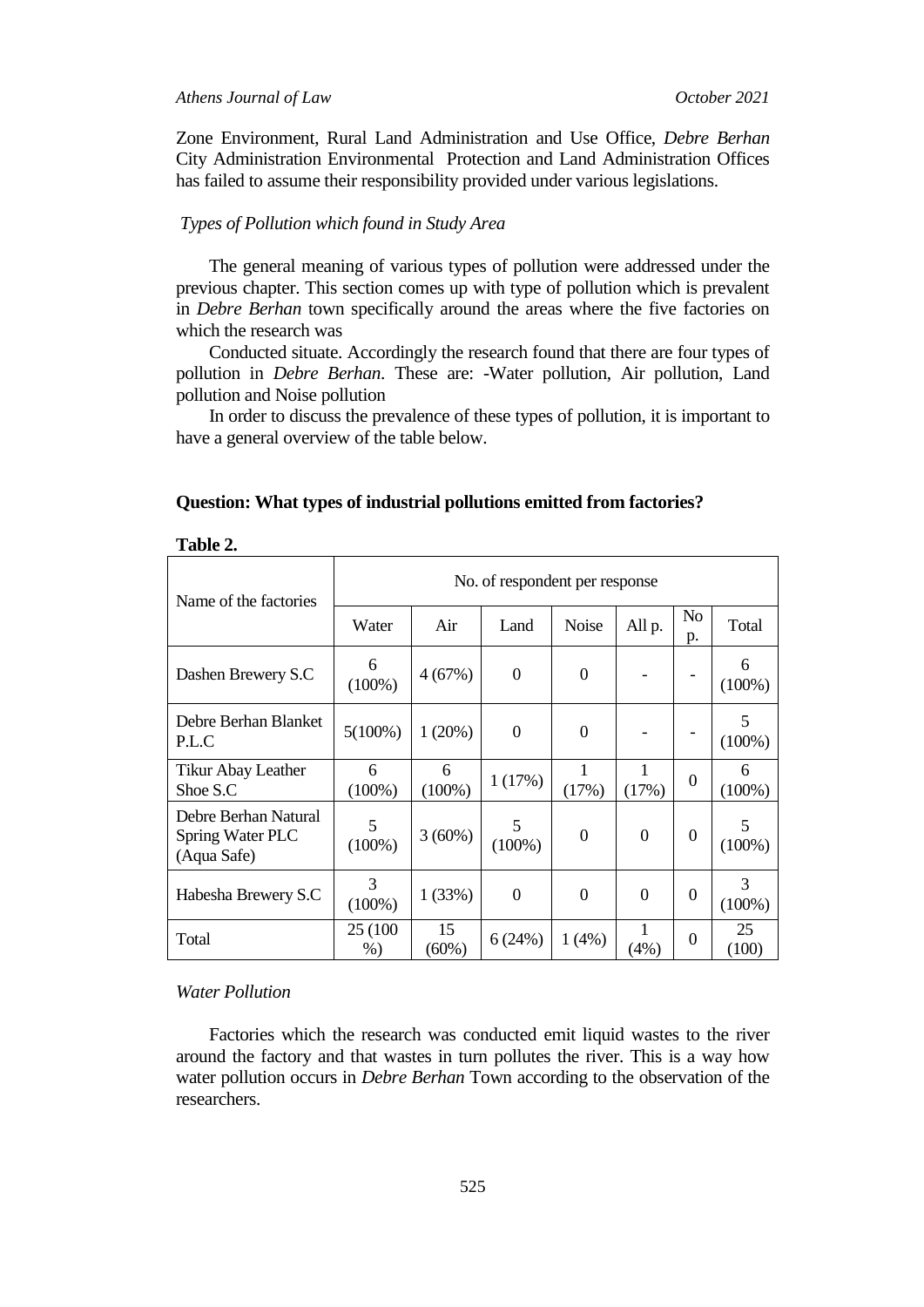Zone Environment, Rural Land Administration and Use Office, *Debre Berhan* City Administration Environmental Protection and Land Administration Offices has failed to assume their responsibility provided under various legislations.

#### *Types of Pollution which found in Study Area*

The general meaning of various types of pollution were addressed under the previous chapter. This section comes up with type of pollution which is prevalent in *Debre Berhan* town specifically around the areas where the five factories on which the research was

Conducted situate. Accordingly the research found that there are four types of pollution in *Debre Berhan*. These are: -Water pollution, Air pollution, Land pollution and Noise pollution

In order to discuss the prevalence of these types of pollution, it is important to have a general overview of the table below.

| 1 UVIV 21                                               |                                |                |                  |                  |                |                  |                |  |
|---------------------------------------------------------|--------------------------------|----------------|------------------|------------------|----------------|------------------|----------------|--|
| Name of the factories                                   | No. of respondent per response |                |                  |                  |                |                  |                |  |
|                                                         | Water                          | Air            | Land             | Noise            | All p.         | No<br>p.         | Total          |  |
| Dashen Brewery S.C                                      | 6<br>$(100\%)$                 | 4(67%)         | $\boldsymbol{0}$ | $\Omega$         |                |                  | 6<br>$(100\%)$ |  |
| Debre Berhan Blanket<br>P.L.C                           | $5(100\%)$                     | 1(20%)         | $\overline{0}$   | $\Omega$         |                |                  | 5<br>$(100\%)$ |  |
| <b>Tikur Abay Leather</b><br>Shoe S.C                   | 6<br>$(100\%)$                 | 6<br>$(100\%)$ | 1(17%)           | 1<br>(17%)       | 1<br>(17%)     | $\theta$         | 6<br>$(100\%)$ |  |
| Debre Berhan Natural<br>Spring Water PLC<br>(Aqua Safe) | 5<br>$(100\%)$                 | 3(60%)         | 5<br>$(100\%)$   | $\boldsymbol{0}$ | $\overline{0}$ | $\boldsymbol{0}$ | 5<br>$(100\%)$ |  |
| Habesha Brewery S.C                                     | 3<br>$(100\%)$                 | 1(33%)         | $\theta$         | $\Omega$         | $\overline{0}$ | $\overline{0}$   | 3<br>$(100\%)$ |  |
| Total                                                   | 25 (100)<br>%                  | 15<br>$(60\%)$ | 6(24%)           | 1(4%)            | 1<br>(4%)      | $\theta$         | 25<br>(100)    |  |

# **Question: What types of industrial pollutions emitted from factories?**

# *Water Pollution*

**Table 2.**

Factories which the research was conducted emit liquid wastes to the river around the factory and that wastes in turn pollutes the river. This is a way how water pollution occurs in *Debre Berhan* Town according to the observation of the researchers.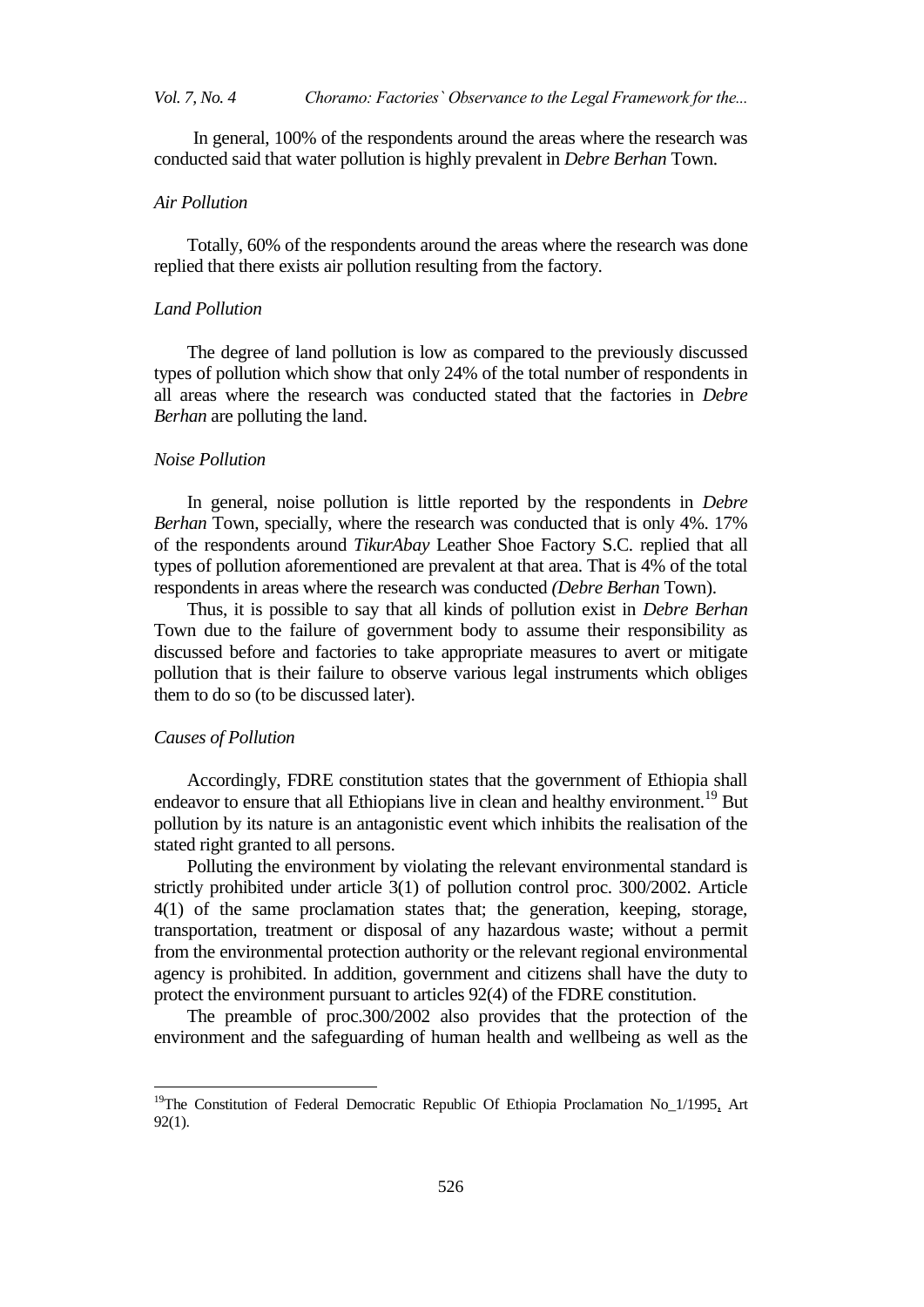# *Vol. 7, No. 4 Choramo: Factories` Observance to the Legal Framework for the...*

 In general, 100% of the respondents around the areas where the research was conducted said that water pollution is highly prevalent in *Debre Berhan* Town.

# *Air Pollution*

Totally, 60% of the respondents around the areas where the research was done replied that there exists air pollution resulting from the factory.

#### *Land Pollution*

The degree of land pollution is low as compared to the previously discussed types of pollution which show that only 24% of the total number of respondents in all areas where the research was conducted stated that the factories in *Debre Berhan* are polluting the land.

# *Noise Pollution*

In general, noise pollution is little reported by the respondents in *Debre Berhan* Town, specially, where the research was conducted that is only 4%. 17% of the respondents around *TikurAbay* Leather Shoe Factory S.C. replied that all types of pollution aforementioned are prevalent at that area. That is 4% of the total respondents in areas where the research was conducted *(Debre Berhan* Town).

Thus, it is possible to say that all kinds of pollution exist in *Debre Berhan* Town due to the failure of government body to assume their responsibility as discussed before and factories to take appropriate measures to avert or mitigate pollution that is their failure to observe various legal instruments which obliges them to do so (to be discussed later).

# *Causes of Pollution*

 $\overline{a}$ 

Accordingly, FDRE constitution states that the government of Ethiopia shall endeavor to ensure that all Ethiopians live in clean and healthy environment.<sup>19</sup> But pollution by its nature is an antagonistic event which inhibits the realisation of the stated right granted to all persons.

Polluting the environment by violating the relevant environmental standard is strictly prohibited under article 3(1) of pollution control proc. 300/2002. Article 4(1) of the same proclamation states that; the generation, keeping, storage, transportation, treatment or disposal of any hazardous waste; without a permit from the environmental protection authority or the relevant regional environmental agency is prohibited. In addition, government and citizens shall have the duty to protect the environment pursuant to articles 92(4) of the FDRE constitution.

The preamble of proc.300/2002 also provides that the protection of the environment and the safeguarding of human health and wellbeing as well as the

<sup>&</sup>lt;sup>19</sup>The Constitution of Federal Democratic Republic Of Ethiopia Proclamation No<sub>\_1</sub>/1995, Art 92(1).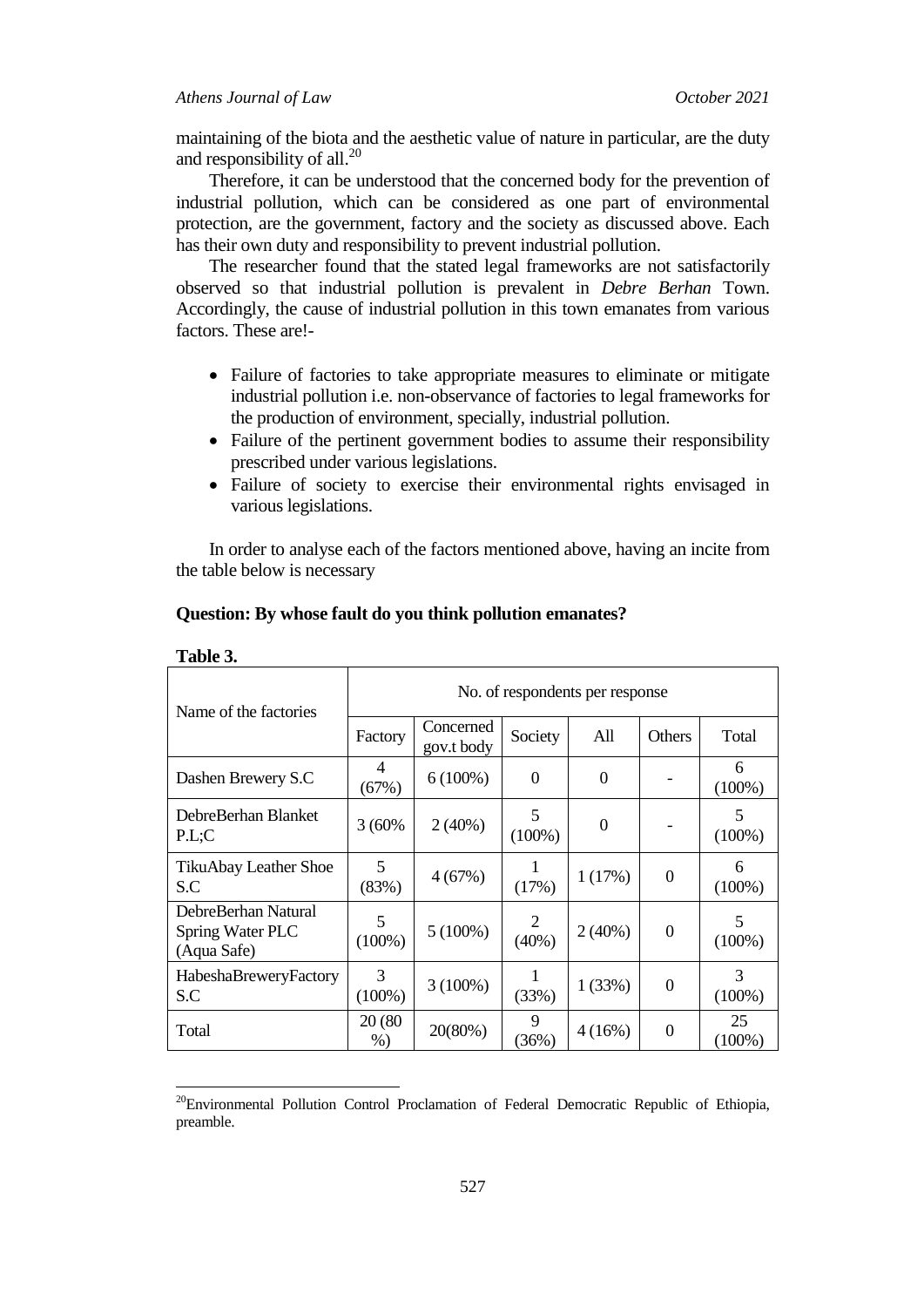maintaining of the biota and the aesthetic value of nature in particular, are the duty and responsibility of all. $^{20}$ 

Therefore, it can be understood that the concerned body for the prevention of industrial pollution, which can be considered as one part of environmental protection, are the government, factory and the society as discussed above. Each has their own duty and responsibility to prevent industrial pollution.

The researcher found that the stated legal frameworks are not satisfactorily observed so that industrial pollution is prevalent in *Debre Berhan* Town. Accordingly, the cause of industrial pollution in this town emanates from various factors. These are!-

- Failure of factories to take appropriate measures to eliminate or mitigate industrial pollution i.e. non-observance of factories to legal frameworks for the production of environment, specially, industrial pollution.
- Failure of the pertinent government bodies to assume their responsibility prescribed under various legislations.
- Failure of society to exercise their environmental rights envisaged in various legislations.

In order to analyse each of the factors mentioned above, having an incite from the table below is necessary

| Name of the factories                                  | No. of respondents per response |                         |                |           |                |                 |  |  |
|--------------------------------------------------------|---------------------------------|-------------------------|----------------|-----------|----------------|-----------------|--|--|
|                                                        | Factory                         | Concerned<br>gov.t body | Society        | All       | Others         | Total           |  |  |
| Dashen Brewery S.C                                     | 4<br>(67%)                      | $6(100\%)$              | $\Omega$       | $\Omega$  |                | 6<br>$(100\%)$  |  |  |
| DebreBerhan Blanket<br>P.L:C                           | 3 (60%)                         | $2(40\%)$               | 5<br>$(100\%)$ | $\Omega$  |                | 5<br>$(100\%)$  |  |  |
| TikuAbay Leather Shoe<br>S.C                           | 5<br>(83%)                      | 4(67%)                  | (17%)          | 1(17%)    | $\Omega$       | 6<br>$(100\%)$  |  |  |
| DebreBerhan Natural<br>Spring Water PLC<br>(Aqua Safe) | 5<br>$(100\%)$                  | $5(100\%)$              | 2<br>$(40\%)$  | $2(40\%)$ | $\mathbf{0}$   | 5<br>$(100\%)$  |  |  |
| HabeshaBreweryFactory<br>S.C                           | 3<br>$(100\%)$                  | $3(100\%)$              | (33%)          | 1(33%)    | $\overline{0}$ | 3<br>$(100\%)$  |  |  |
| Total                                                  | 20 (80)<br>$%$ )                | 20(80%)                 | 9<br>(36%)     | 4(16%)    | $\overline{0}$ | 25<br>$(100\%)$ |  |  |

#### **Question: By whose fault do you think pollution emanates?**

# **Table 3.**

 $\overline{\phantom{a}}$ 

<sup>&</sup>lt;sup>20</sup>Environmental Pollution Control Proclamation of Federal Democratic Republic of Ethiopia, preamble.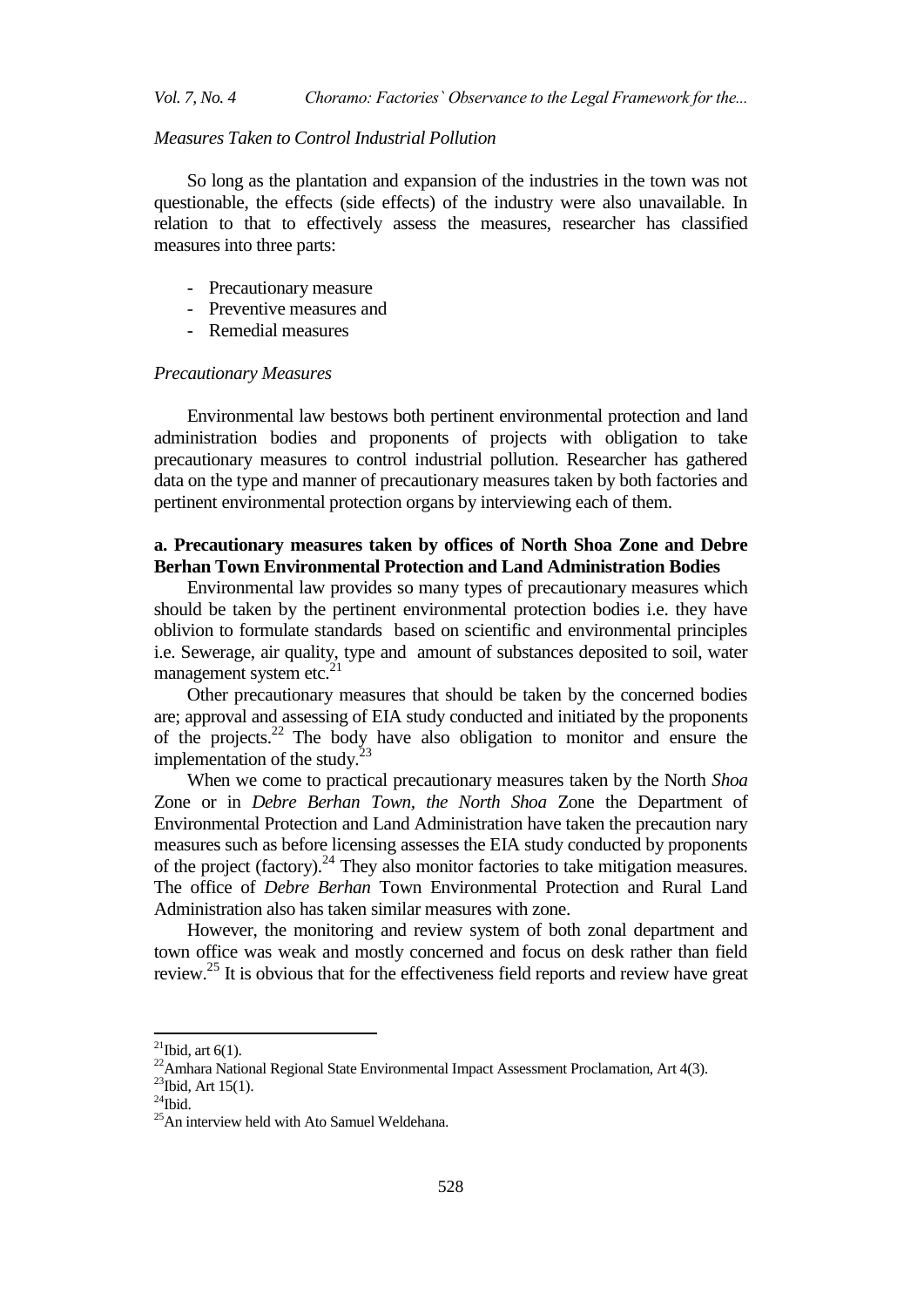# *Measures Taken to Control Industrial Pollution*

So long as the plantation and expansion of the industries in the town was not questionable, the effects (side effects) of the industry were also unavailable. In relation to that to effectively assess the measures, researcher has classified measures into three parts:

- Precautionary measure
- Preventive measures and
- Remedial measures

#### *Precautionary Measures*

Environmental law bestows both pertinent environmental protection and land administration bodies and proponents of projects with obligation to take precautionary measures to control industrial pollution. Researcher has gathered data on the type and manner of precautionary measures taken by both factories and pertinent environmental protection organs by interviewing each of them.

# **a. Precautionary measures taken by offices of North Shoa Zone and Debre Berhan Town Environmental Protection and Land Administration Bodies**

Environmental law provides so many types of precautionary measures which should be taken by the pertinent environmental protection bodies i.e. they have oblivion to formulate standards based on scientific and environmental principles i.e. Sewerage, air quality, type and amount of substances deposited to soil, water management system etc. $^{21}$ 

Other precautionary measures that should be taken by the concerned bodies are; approval and assessing of EIA study conducted and initiated by the proponents of the projects.<sup>22</sup> The body have also obligation to monitor and ensure the implementation of the study. $23$ 

When we come to practical precautionary measures taken by the North *Shoa* Zone or in *Debre Berhan Town, the North Shoa* Zone the Department of Environmental Protection and Land Administration have taken the precaution nary measures such as before licensing assesses the EIA study conducted by proponents of the project (factory).<sup>24</sup> They also monitor factories to take mitigation measures. The office of *Debre Berhan* Town Environmental Protection and Rural Land Administration also has taken similar measures with zone.

However, the monitoring and review system of both zonal department and town office was weak and mostly concerned and focus on desk rather than field review.<sup>25</sup> It is obvious that for the effectiveness field reports and review have great

 $\ddot{\phantom{a}}$ 

<sup>&</sup>lt;sup>21</sup>Ibid, art  $6(1)$ .

<sup>&</sup>lt;sup>22</sup>Amhara National Regional State Environmental Impact Assessment Proclamation, Art 4(3).

 $^{23}$ Ibid, Art 15(1).

 $^{24}$ Ibid.

<sup>25</sup>An interview held with Ato Samuel Weldehana.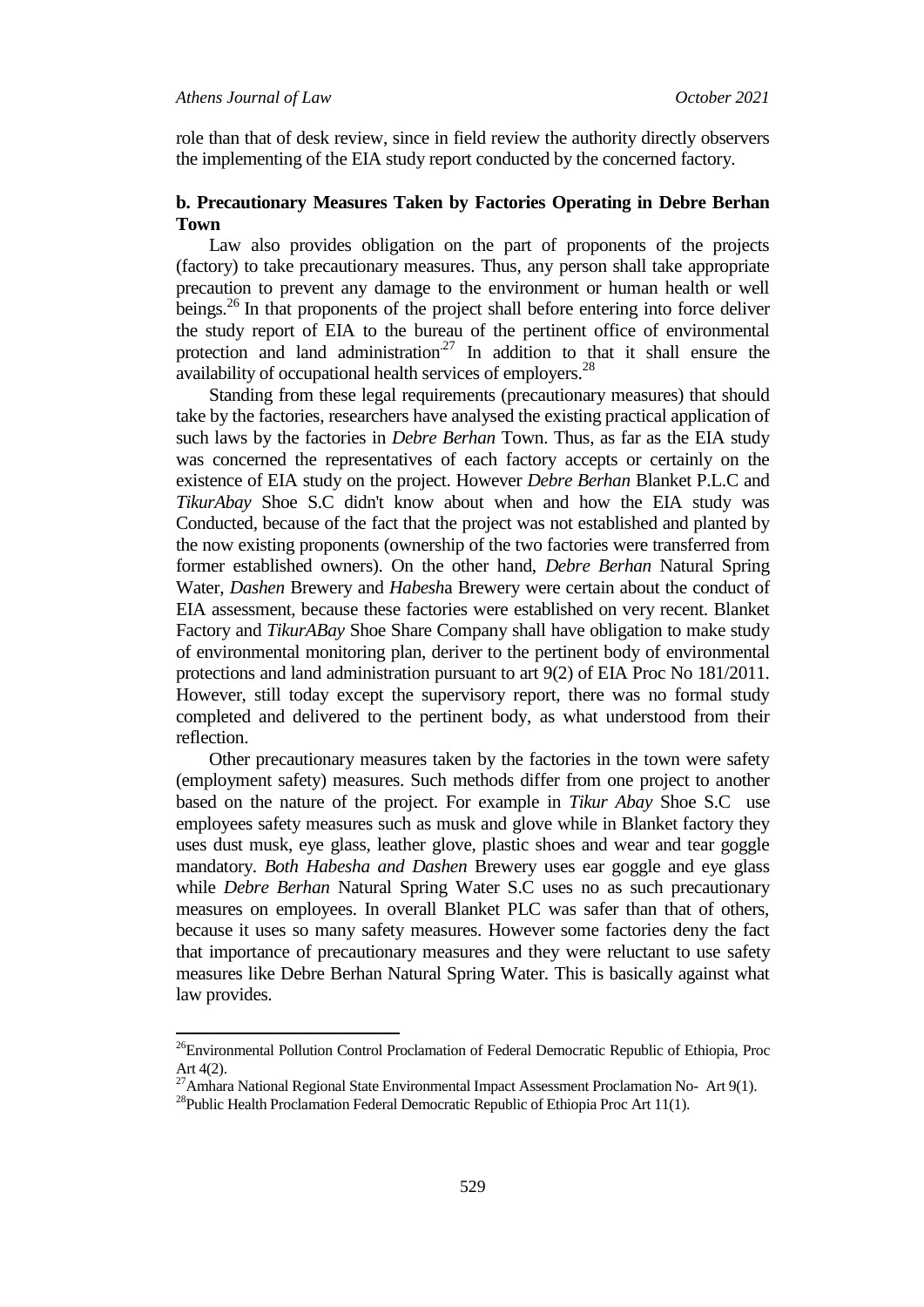$\overline{a}$ 

role than that of desk review, since in field review the authority directly observers the implementing of the EIA study report conducted by the concerned factory.

# **b. Precautionary Measures Taken by Factories Operating in Debre Berhan Town**

Law also provides obligation on the part of proponents of the projects (factory) to take precautionary measures. Thus, any person shall take appropriate precaution to prevent any damage to the environment or human health or well beings.<sup>26</sup> In that proponents of the project shall before entering into force deliver the study report of EIA to the bureau of the pertinent office of environmental protection and land administration<sup>27</sup> In addition to that it shall ensure the availability of occupational health services of employers.<sup>28</sup>

Standing from these legal requirements (precautionary measures) that should take by the factories, researchers have analysed the existing practical application of such laws by the factories in *Debre Berhan* Town. Thus, as far as the EIA study was concerned the representatives of each factory accepts or certainly on the existence of EIA study on the project. However *Debre Berhan* Blanket P.L.C and *TikurAbay* Shoe S.C didn't know about when and how the EIA study was Conducted, because of the fact that the project was not established and planted by the now existing proponents (ownership of the two factories were transferred from former established owners). On the other hand, *Debre Berhan* Natural Spring Water, *Dashen* Brewery and *Habesh*a Brewery were certain about the conduct of EIA assessment, because these factories were established on very recent. Blanket Factory and *TikurABay* Shoe Share Company shall have obligation to make study of environmental monitoring plan, deriver to the pertinent body of environmental protections and land administration pursuant to art 9(2) of EIA Proc No 181/2011. However, still today except the supervisory report, there was no formal study completed and delivered to the pertinent body, as what understood from their reflection.

Other precautionary measures taken by the factories in the town were safety (employment safety) measures. Such methods differ from one project to another based on the nature of the project. For example in *Tikur Abay* Shoe S.C use employees safety measures such as musk and glove while in Blanket factory they uses dust musk, eye glass, leather glove, plastic shoes and wear and tear goggle mandatory. *Both Habesha and Dashen* Brewery uses ear goggle and eye glass while *Debre Berhan* Natural Spring Water S.C uses no as such precautionary measures on employees. In overall Blanket PLC was safer than that of others, because it uses so many safety measures. However some factories deny the fact that importance of precautionary measures and they were reluctant to use safety measures like Debre Berhan Natural Spring Water. This is basically against what law provides.

<sup>&</sup>lt;sup>26</sup>Environmental Pollution Control Proclamation of Federal Democratic Republic of Ethiopia, Proc Art 4(2).

<sup>&</sup>lt;sup>27</sup>Amhara National Regional State Environmental Impact Assessment Proclamation No- Art 9(1).

<sup>&</sup>lt;sup>28</sup>Public Health Proclamation Federal Democratic Republic of Ethiopia Proc Art 11(1).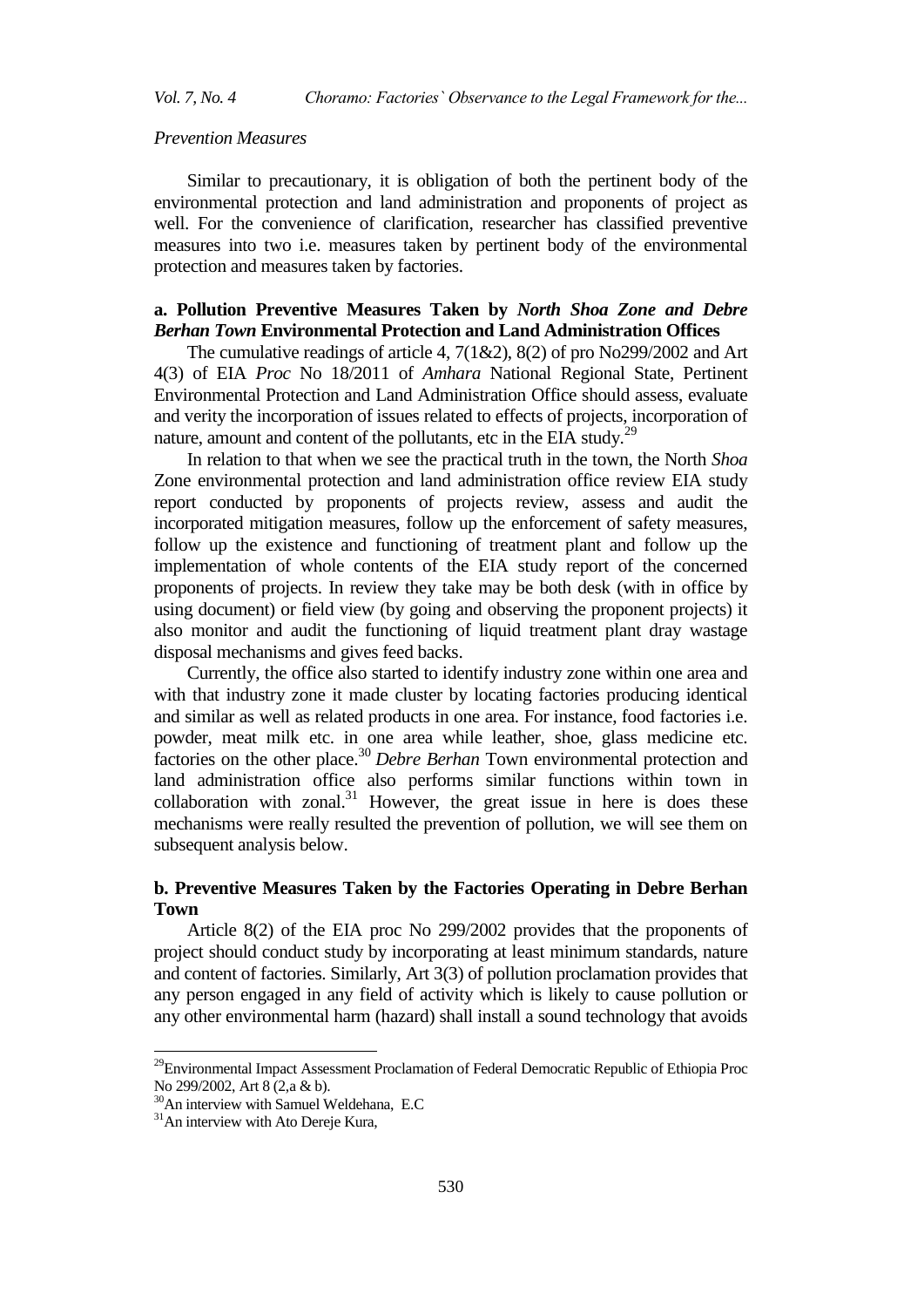*Vol. 7, No. 4 Choramo: Factories` Observance to the Legal Framework for the...*

# *Prevention Measures*

Similar to precautionary, it is obligation of both the pertinent body of the environmental protection and land administration and proponents of project as well. For the convenience of clarification, researcher has classified preventive measures into two i.e. measures taken by pertinent body of the environmental protection and measures taken by factories.

# **a. Pollution Preventive Measures Taken by** *North Shoa Zone and Debre Berhan Town* **Environmental Protection and Land Administration Offices**

The cumulative readings of article 4,  $7(1&2)$ ,  $8(2)$  of pro No299/2002 and Art 4(3) of EIA *Proc* No 18/2011 of *Amhara* National Regional State, Pertinent Environmental Protection and Land Administration Office should assess, evaluate and verity the incorporation of issues related to effects of projects, incorporation of nature, amount and content of the pollutants, etc in the EIA study.<sup>29</sup>

In relation to that when we see the practical truth in the town, the North *Shoa* Zone environmental protection and land administration office review EIA study report conducted by proponents of projects review, assess and audit the incorporated mitigation measures, follow up the enforcement of safety measures, follow up the existence and functioning of treatment plant and follow up the implementation of whole contents of the EIA study report of the concerned proponents of projects. In review they take may be both desk (with in office by using document) or field view (by going and observing the proponent projects) it also monitor and audit the functioning of liquid treatment plant dray wastage disposal mechanisms and gives feed backs.

Currently, the office also started to identify industry zone within one area and with that industry zone it made cluster by locating factories producing identical and similar as well as related products in one area. For instance, food factories i.e. powder, meat milk etc. in one area while leather, shoe, glass medicine etc. factories on the other place.<sup>30</sup> *Debre Berhan* Town environmental protection and land administration office also performs similar functions within town in collaboration with zonal. $31$  However, the great issue in here is does these mechanisms were really resulted the prevention of pollution, we will see them on subsequent analysis below.

# **b. Preventive Measures Taken by the Factories Operating in Debre Berhan Town**

Article 8(2) of the EIA proc No 299/2002 provides that the proponents of project should conduct study by incorporating at least minimum standards, nature and content of factories. Similarly, Art 3(3) of pollution proclamation provides that any person engaged in any field of activity which is likely to cause pollution or any other environmental harm (hazard) shall install a sound technology that avoids

 $\ddot{\phantom{a}}$ 

<sup>&</sup>lt;sup>29</sup>Environmental Impact Assessment Proclamation of Federal Democratic Republic of Ethiopia Proc No 299/2002, Art 8 (2,a & b).

<sup>&</sup>lt;sup>30</sup>An interview with Samuel Weldehana, E.C

 $31$ An interview with Ato Dereje Kura,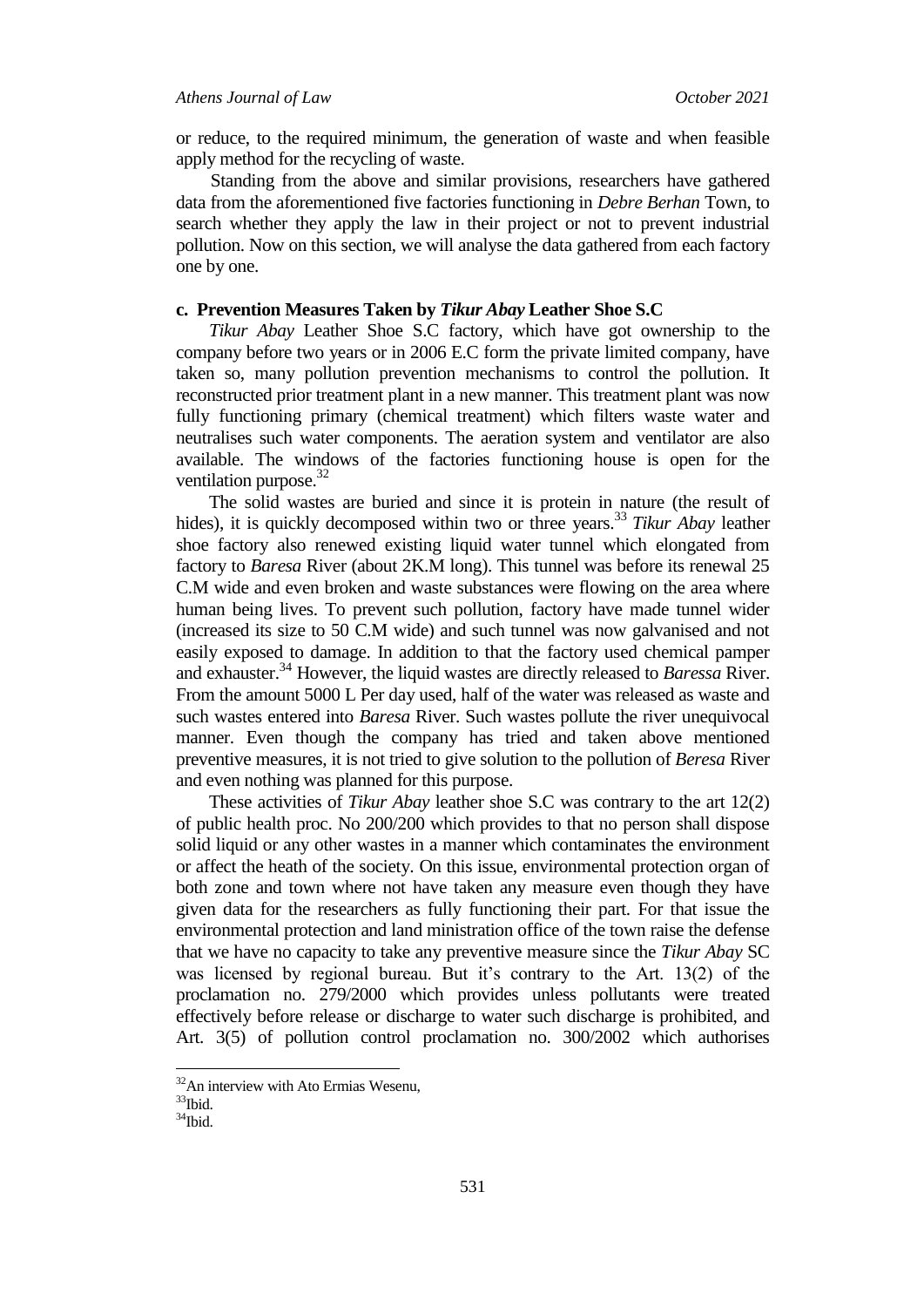or reduce, to the required minimum, the generation of waste and when feasible apply method for the recycling of waste.

 Standing from the above and similar provisions, researchers have gathered data from the aforementioned five factories functioning in *Debre Berhan* Town, to search whether they apply the law in their project or not to prevent industrial pollution. Now on this section, we will analyse the data gathered from each factory one by one.

#### **c. Prevention Measures Taken by** *Tikur Abay* **Leather Shoe S.C**

*Tikur Abay* Leather Shoe S.C factory, which have got ownership to the company before two years or in 2006 E.C form the private limited company, have taken so, many pollution prevention mechanisms to control the pollution. It reconstructed prior treatment plant in a new manner. This treatment plant was now fully functioning primary (chemical treatment) which filters waste water and neutralises such water components. The aeration system and ventilator are also available. The windows of the factories functioning house is open for the ventilation purpose.<sup>32</sup>

The solid wastes are buried and since it is protein in nature (the result of hides), it is quickly decomposed within two or three years.<sup>33</sup> *Tikur Abay* leather shoe factory also renewed existing liquid water tunnel which elongated from factory to *Baresa* River (about 2K.M long). This tunnel was before its renewal 25 C.M wide and even broken and waste substances were flowing on the area where human being lives. To prevent such pollution, factory have made tunnel wider (increased its size to 50 C.M wide) and such tunnel was now galvanised and not easily exposed to damage. In addition to that the factory used chemical pamper and exhauster. <sup>34</sup> However, the liquid wastes are directly released to *Baressa* River. From the amount 5000 L Per day used, half of the water was released as waste and such wastes entered into *Baresa* River. Such wastes pollute the river unequivocal manner. Even though the company has tried and taken above mentioned preventive measures, it is not tried to give solution to the pollution of *Beresa* River and even nothing was planned for this purpose.

These activities of *Tikur Abay* leather shoe S.C was contrary to the art 12(2) of public health proc. No 200/200 which provides to that no person shall dispose solid liquid or any other wastes in a manner which contaminates the environment or affect the heath of the society. On this issue, environmental protection organ of both zone and town where not have taken any measure even though they have given data for the researchers as fully functioning their part. For that issue the environmental protection and land ministration office of the town raise the defense that we have no capacity to take any preventive measure since the *Tikur Abay* SC was licensed by regional bureau. But it's contrary to the Art. 13(2) of the proclamation no. 279/2000 which provides unless pollutants were treated effectively before release or discharge to water such discharge is prohibited, and Art. 3(5) of pollution control proclamation no. 300/2002 which authorises

 $32$ An interview with Ato Ermias Wesenu,

 $33$ Ibid.

 $^{34}\mathrm{Ibid.}$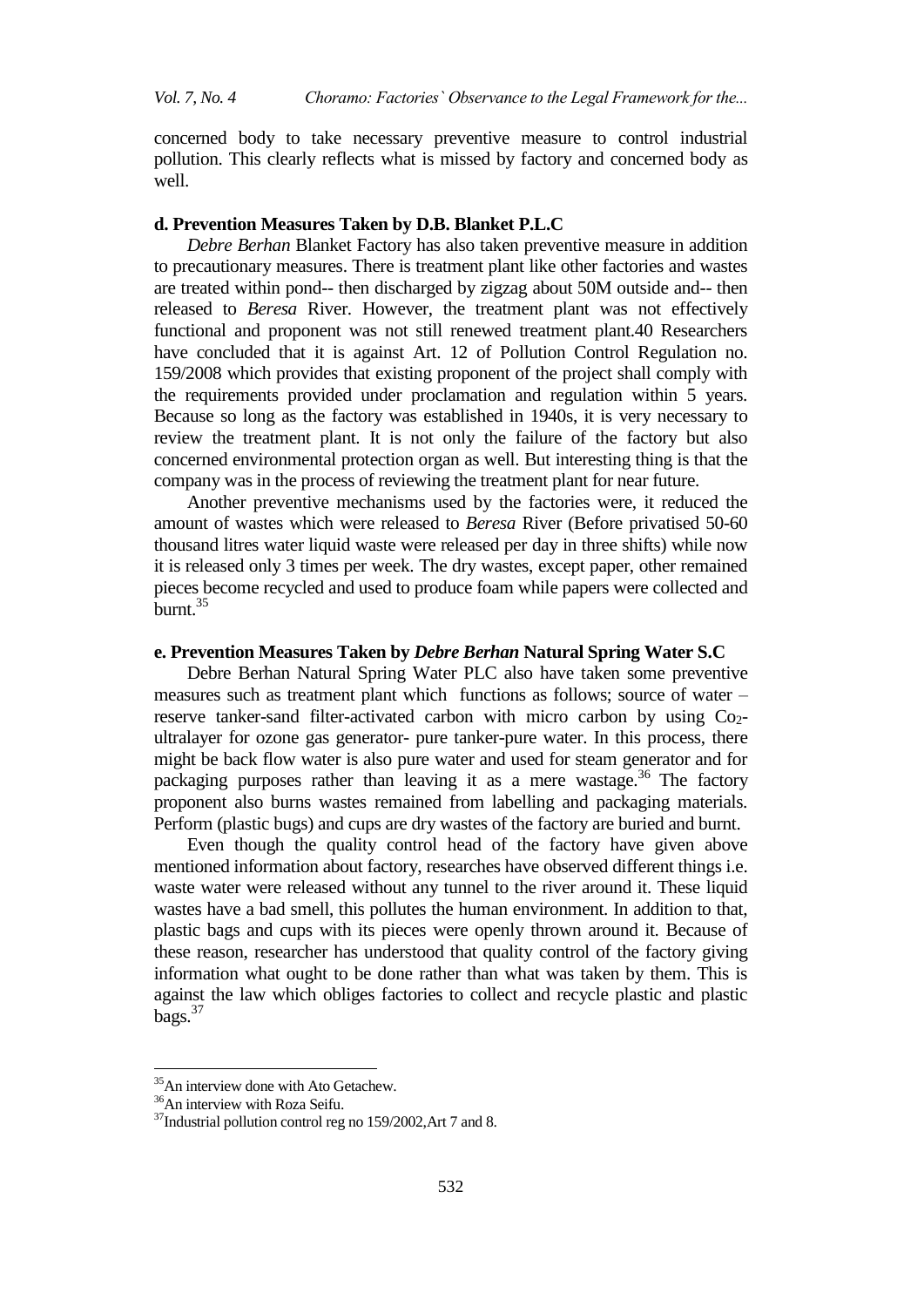concerned body to take necessary preventive measure to control industrial pollution. This clearly reflects what is missed by factory and concerned body as well.

# **d. Prevention Measures Taken by D.B. Blanket P.L.C**

*Debre Berhan* Blanket Factory has also taken preventive measure in addition to precautionary measures. There is treatment plant like other factories and wastes are treated within pond-- then discharged by zigzag about 50M outside and-- then released to *Beresa* River. However, the treatment plant was not effectively functional and proponent was not still renewed treatment plant.40 Researchers have concluded that it is against Art. 12 of Pollution Control Regulation no. 159/2008 which provides that existing proponent of the project shall comply with the requirements provided under proclamation and regulation within 5 years. Because so long as the factory was established in 1940s, it is very necessary to review the treatment plant. It is not only the failure of the factory but also concerned environmental protection organ as well. But interesting thing is that the company was in the process of reviewing the treatment plant for near future.

Another preventive mechanisms used by the factories were, it reduced the amount of wastes which were released to *Beresa* River (Before privatised 50-60 thousand litres water liquid waste were released per day in three shifts) while now it is released only 3 times per week. The dry wastes, except paper, other remained pieces become recycled and used to produce foam while papers were collected and  $burnt.<sup>35</sup>$ 

#### **e. Prevention Measures Taken by** *Debre Berhan* **Natural Spring Water S.C**

Debre Berhan Natural Spring Water PLC also have taken some preventive measures such as treatment plant which functions as follows; source of water – reserve tanker-sand filter-activated carbon with micro carbon by using  $Co<sub>2</sub>$ ultralayer for ozone gas generator- pure tanker-pure water. In this process, there might be back flow water is also pure water and used for steam generator and for packaging purposes rather than leaving it as a mere wastage.<sup>36</sup> The factory proponent also burns wastes remained from labelling and packaging materials. Perform (plastic bugs) and cups are dry wastes of the factory are buried and burnt.

Even though the quality control head of the factory have given above mentioned information about factory, researches have observed different things i.e. waste water were released without any tunnel to the river around it. These liquid wastes have a bad smell, this pollutes the human environment. In addition to that, plastic bags and cups with its pieces were openly thrown around it. Because of these reason, researcher has understood that quality control of the factory giving information what ought to be done rather than what was taken by them. This is against the law which obliges factories to collect and recycle plastic and plastic  $bags.<sup>37</sup>$ 

 $\ddot{\phantom{a}}$ 

<sup>&</sup>lt;sup>35</sup>An interview done with Ato Getachew.

<sup>&</sup>lt;sup>36</sup>An interview with Roza Seifu.

<sup>&</sup>lt;sup>37</sup>Industrial pollution control reg no 159/2002, Art 7 and 8.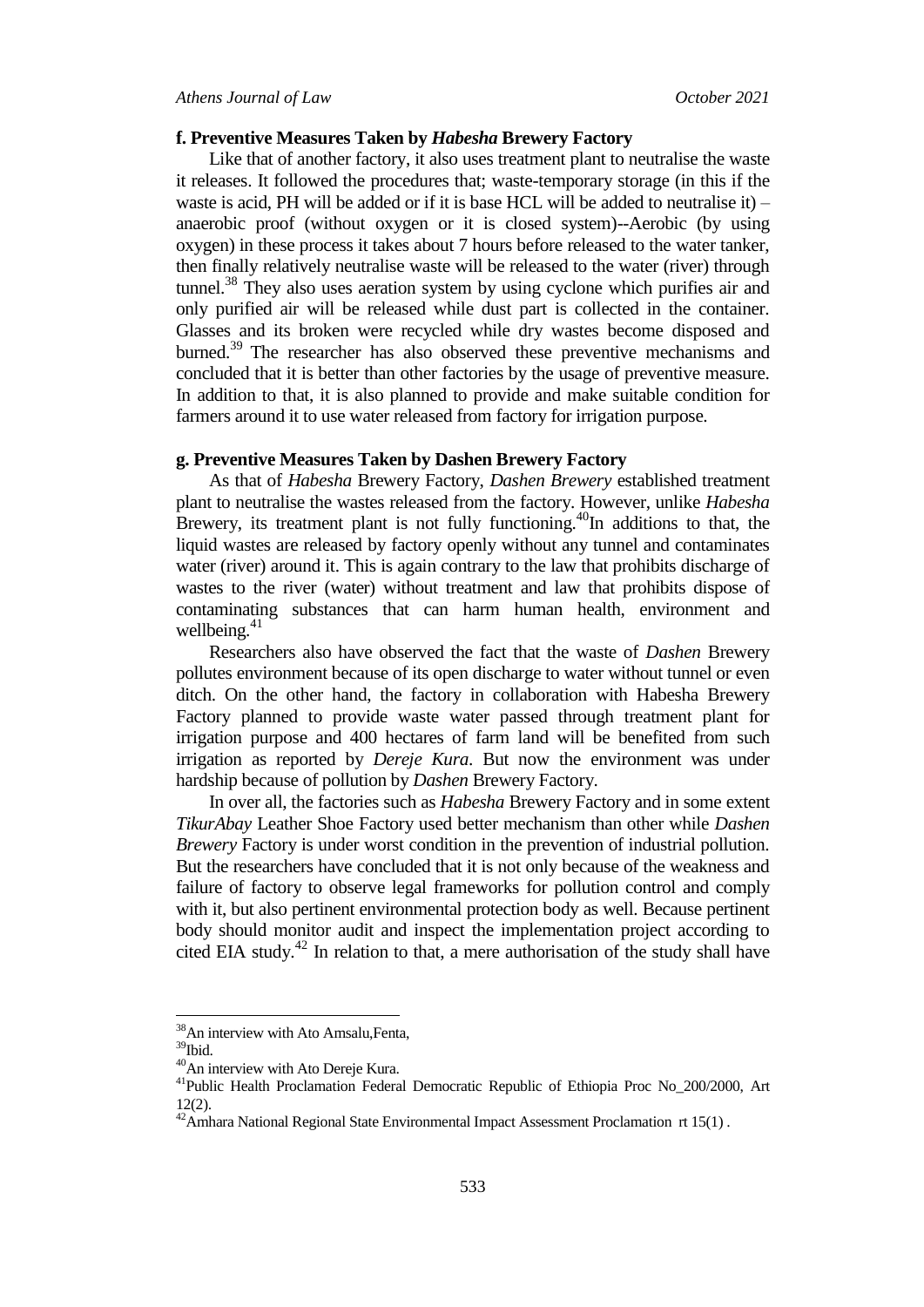# **f. Preventive Measures Taken by** *Habesha* **Brewery Factory**

Like that of another factory, it also uses treatment plant to neutralise the waste it releases. It followed the procedures that; waste-temporary storage (in this if the waste is acid, PH will be added or if it is base HCL will be added to neutralise it) – anaerobic proof (without oxygen or it is closed system)--Aerobic (by using oxygen) in these process it takes about 7 hours before released to the water tanker, then finally relatively neutralise waste will be released to the water (river) through tunnel.<sup>38</sup> They also uses aeration system by using cyclone which purifies air and only purified air will be released while dust part is collected in the container. Glasses and its broken were recycled while dry wastes become disposed and burned.<sup>39</sup> The researcher has also observed these preventive mechanisms and concluded that it is better than other factories by the usage of preventive measure. In addition to that, it is also planned to provide and make suitable condition for farmers around it to use water released from factory for irrigation purpose.

# **g. Preventive Measures Taken by Dashen Brewery Factory**

As that of *Habesha* Brewery Factory, *Dashen Brewery* established treatment plant to neutralise the wastes released from the factory. However, unlike *Habesha* Brewery, its treatment plant is not fully functioning.<sup>40</sup>In additions to that, the liquid wastes are released by factory openly without any tunnel and contaminates water (river) around it. This is again contrary to the law that prohibits discharge of wastes to the river (water) without treatment and law that prohibits dispose of contaminating substances that can harm human health, environment and wellbeing. $41$ 

Researchers also have observed the fact that the waste of *Dashen* Brewery pollutes environment because of its open discharge to water without tunnel or even ditch. On the other hand, the factory in collaboration with Habesha Brewery Factory planned to provide waste water passed through treatment plant for irrigation purpose and 400 hectares of farm land will be benefited from such irrigation as reported by *Dereje Kura*. But now the environment was under hardship because of pollution by *Dashen* Brewery Factory.

In over all, the factories such as *Habesha* Brewery Factory and in some extent *TikurAbay* Leather Shoe Factory used better mechanism than other while *Dashen Brewery* Factory is under worst condition in the prevention of industrial pollution. But the researchers have concluded that it is not only because of the weakness and failure of factory to observe legal frameworks for pollution control and comply with it, but also pertinent environmental protection body as well. Because pertinent body should monitor audit and inspect the implementation project according to cited EIA study.<sup>42</sup> In relation to that, a mere authorisation of the study shall have

<sup>&</sup>lt;sup>38</sup>An interview with Ato Amsalu, Fenta,

<sup>39</sup>Ibid.

<sup>40</sup>An interview with Ato Dereje Kura.

<sup>&</sup>lt;sup>41</sup>Public Health Proclamation Federal Democratic Republic of Ethiopia Proc No\_200/2000, Art 12(2).

 $12(2)$ .<br><sup>42</sup>Amhara National Regional State Environmental Impact Assessment Proclamation rt 15(1).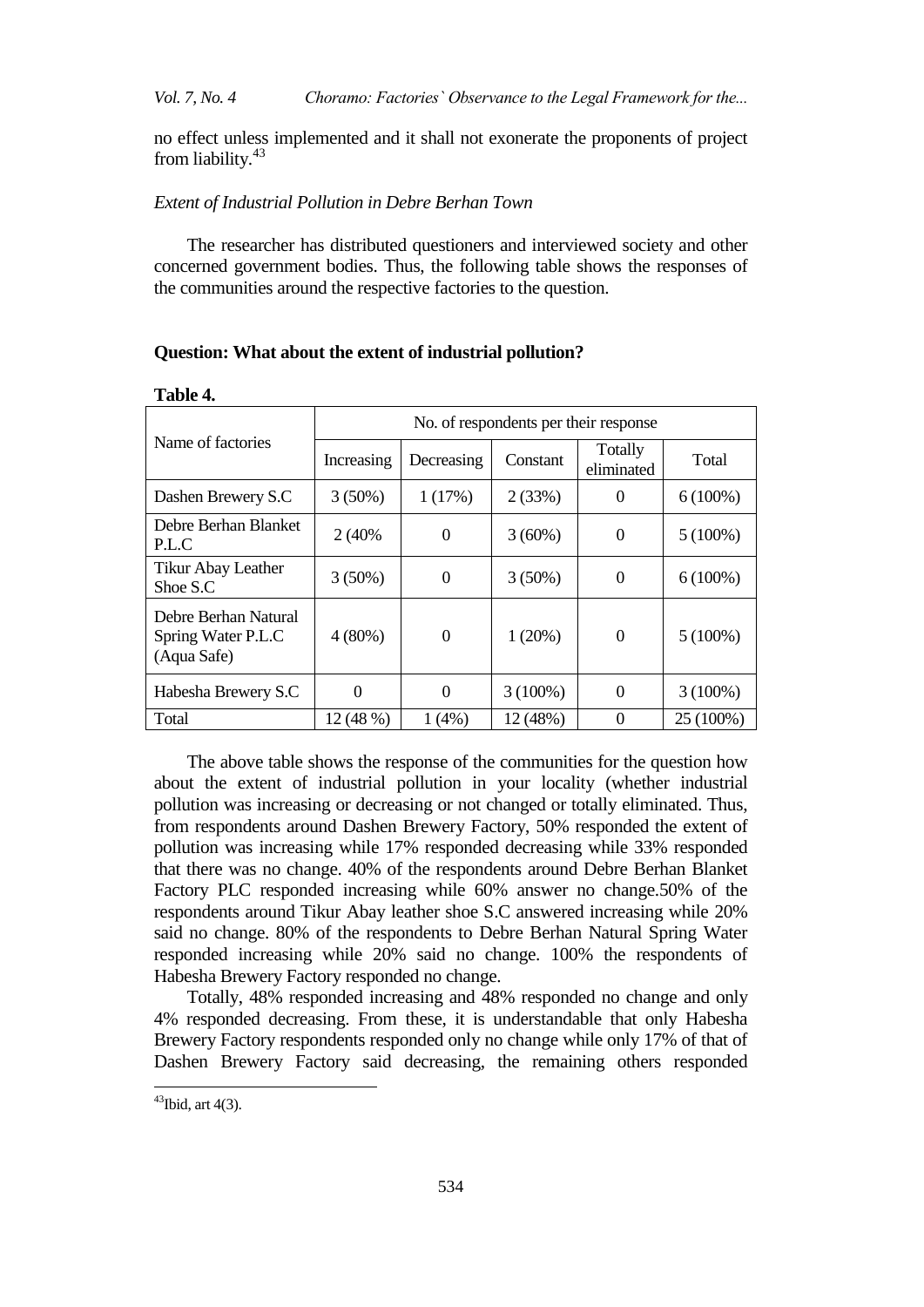*Vol. 7, No. 4 Choramo: Factories` Observance to the Legal Framework for the...*

no effect unless implemented and it shall not exonerate the proponents of project from liability.<sup>43</sup>

# *Extent of Industrial Pollution in Debre Berhan Town*

The researcher has distributed questioners and interviewed society and other concerned government bodies. Thus, the following table shows the responses of the communities around the respective factories to the question.

# **Question: What about the extent of industrial pollution?**

|                                                           | No. of respondents per their response |                       |            |                       |            |  |  |  |
|-----------------------------------------------------------|---------------------------------------|-----------------------|------------|-----------------------|------------|--|--|--|
| Name of factories                                         | Increasing                            | Decreasing            | Constant   | Totally<br>eliminated | Total      |  |  |  |
| Dashen Brewery S.C                                        | $3(50\%)$                             | 1(17%)                | 2(33%)     | $\theta$              | $6(100\%)$ |  |  |  |
| Debre Berhan Blanket<br>P.L.C                             | 2 (40%)                               | $3(60\%)$<br>$\Omega$ |            | 0                     | $5(100\%)$ |  |  |  |
| Tikur Abay Leather<br>Shoe S.C                            | $3(50\%)$                             | $\Omega$              | $3(50\%)$  | 0                     | $6(100\%)$ |  |  |  |
| Debre Berhan Natural<br>Spring Water P.L.C<br>(Aqua Safe) | $4(80\%)$                             | $\theta$              | 1(20%)     | $\theta$              | $5(100\%)$ |  |  |  |
| Habesha Brewery S.C                                       | $\theta$                              | $\theta$              | $3(100\%)$ | $\theta$              | $3(100\%)$ |  |  |  |
| Total                                                     | 12 (48 %)                             | 1(4%)                 | 12 (48%)   | 0                     | 25 (100%)  |  |  |  |

# **Table 4.**

The above table shows the response of the communities for the question how about the extent of industrial pollution in your locality (whether industrial pollution was increasing or decreasing or not changed or totally eliminated. Thus, from respondents around Dashen Brewery Factory, 50% responded the extent of pollution was increasing while 17% responded decreasing while 33% responded that there was no change. 40% of the respondents around Debre Berhan Blanket Factory PLC responded increasing while 60% answer no change.50% of the respondents around Tikur Abay leather shoe S.C answered increasing while 20% said no change. 80% of the respondents to Debre Berhan Natural Spring Water responded increasing while 20% said no change. 100% the respondents of Habesha Brewery Factory responded no change.

Totally, 48% responded increasing and 48% responded no change and only 4% responded decreasing. From these, it is understandable that only Habesha Brewery Factory respondents responded only no change while only 17% of that of Dashen Brewery Factory said decreasing, the remaining others responded

 $43$ Ibid, art 4(3).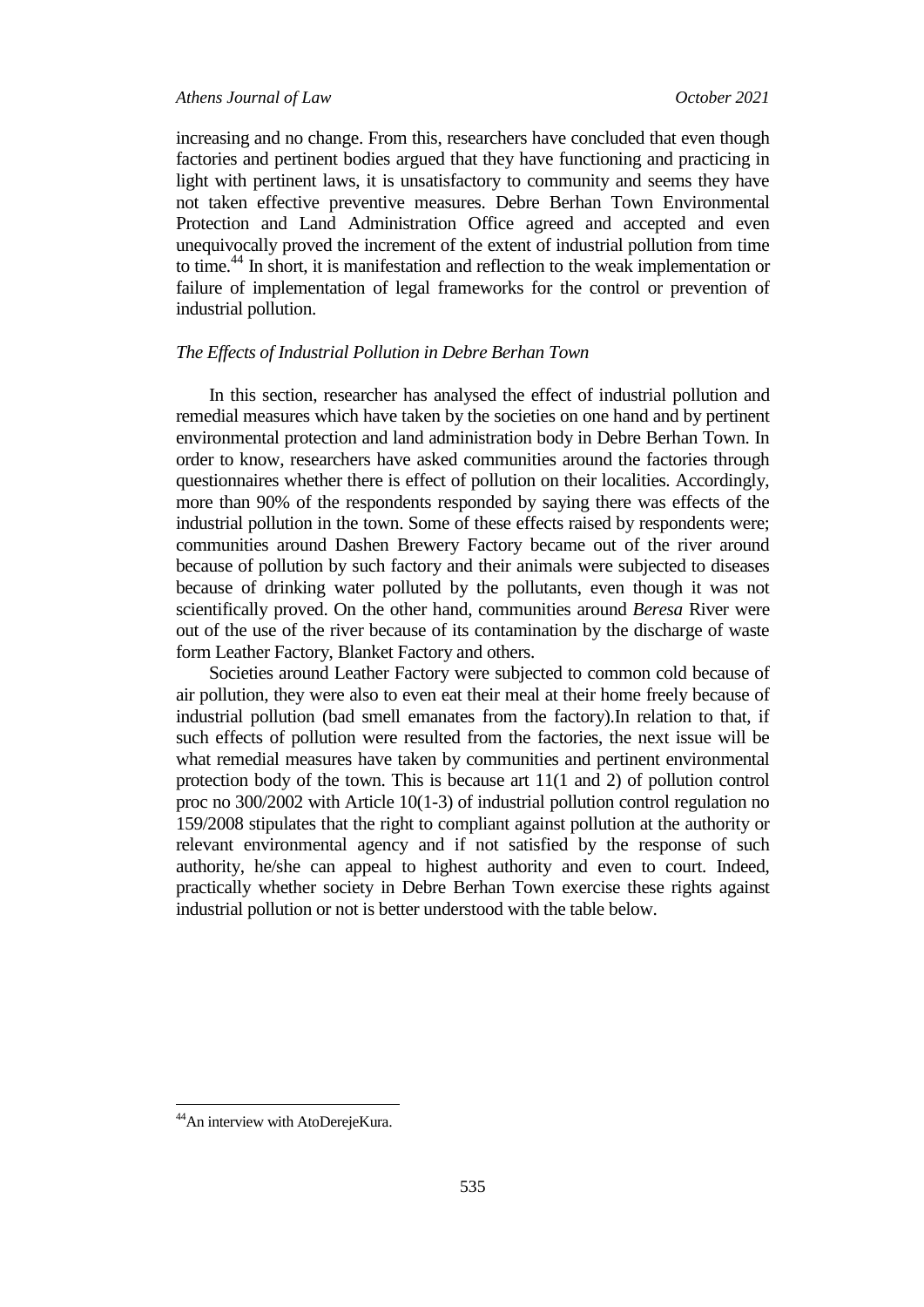increasing and no change. From this, researchers have concluded that even though factories and pertinent bodies argued that they have functioning and practicing in light with pertinent laws, it is unsatisfactory to community and seems they have not taken effective preventive measures. Debre Berhan Town Environmental Protection and Land Administration Office agreed and accepted and even unequivocally proved the increment of the extent of industrial pollution from time to time.<sup>44</sup> In short, it is manifestation and reflection to the weak implementation or failure of implementation of legal frameworks for the control or prevention of industrial pollution.

# *The Effects of Industrial Pollution in Debre Berhan Town*

In this section, researcher has analysed the effect of industrial pollution and remedial measures which have taken by the societies on one hand and by pertinent environmental protection and land administration body in Debre Berhan Town. In order to know, researchers have asked communities around the factories through questionnaires whether there is effect of pollution on their localities. Accordingly, more than 90% of the respondents responded by saying there was effects of the industrial pollution in the town. Some of these effects raised by respondents were; communities around Dashen Brewery Factory became out of the river around because of pollution by such factory and their animals were subjected to diseases because of drinking water polluted by the pollutants, even though it was not scientifically proved. On the other hand, communities around *Beresa* River were out of the use of the river because of its contamination by the discharge of waste form Leather Factory, Blanket Factory and others.

Societies around Leather Factory were subjected to common cold because of air pollution, they were also to even eat their meal at their home freely because of industrial pollution (bad smell emanates from the factory).In relation to that, if such effects of pollution were resulted from the factories, the next issue will be what remedial measures have taken by communities and pertinent environmental protection body of the town. This is because art 11(1 and 2) of pollution control proc no 300/2002 with Article 10(1-3) of industrial pollution control regulation no 159/2008 stipulates that the right to compliant against pollution at the authority or relevant environmental agency and if not satisfied by the response of such authority, he/she can appeal to highest authority and even to court. Indeed, practically whether society in Debre Berhan Town exercise these rights against industrial pollution or not is better understood with the table below.

<sup>&</sup>lt;sup>44</sup>An interview with AtoDerejeKura.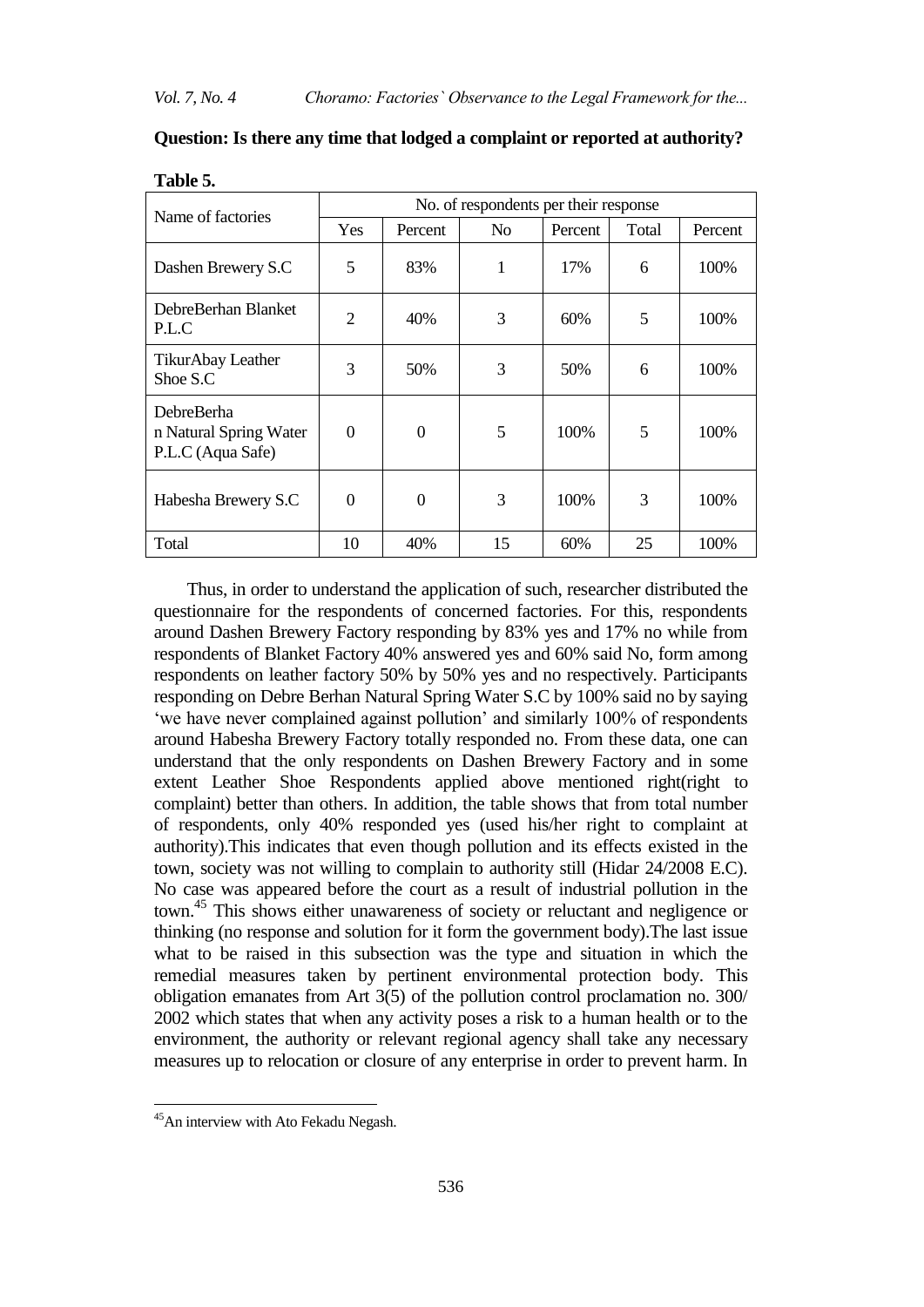| Name of factories                                         | No. of respondents per their response |          |                |         |       |         |  |  |
|-----------------------------------------------------------|---------------------------------------|----------|----------------|---------|-------|---------|--|--|
|                                                           | Yes                                   | Percent  | N <sub>0</sub> | Percent | Total | Percent |  |  |
| Dashen Brewery S.C                                        | 5                                     | 83%      | 1              | 17%     | 6     | 100%    |  |  |
| DebreBerhan Blanket<br>P.L.C                              | $\overline{2}$                        | 40%      | 3              | 60%     | 5     | 100\%   |  |  |
| TikurAbay Leather<br>Shoe S.C                             | 3                                     | 50%      | 3              | 50%     | 6     | 100%    |  |  |
| DebreBerha<br>n Natural Spring Water<br>P.L.C (Aqua Safe) | $\theta$                              | $\theta$ | 5              | 100\%   | 5     | 100%    |  |  |
| Habesha Brewery S.C                                       | $\theta$                              | 0        | 3              | 100%    | 3     | 100%    |  |  |
| Total                                                     | 10                                    | 40%      | 15             | 60%     | 25    | 100%    |  |  |

**Question: Is there any time that lodged a complaint or reported at authority?**

| Thus, in order to understand the application of such, researcher distributed the            |
|---------------------------------------------------------------------------------------------|
| questionnaire for the respondents of concerned factories. For this, respondents             |
| around Dashen Brewery Factory responding by 83% yes and 17% no while from                   |
| respondents of Blanket Factory 40% answered yes and 60% said No, form among                 |
| respondents on leather factory 50% by 50% yes and no respectively. Participants             |
|                                                                                             |
| responding on Debre Berhan Natural Spring Water S.C by 100% said no by saying               |
| 'we have never complained against pollution' and similarly 100% of respondents              |
| around Habesha Brewery Factory totally responded no. From these data, one can               |
| understand that the only respondents on Dashen Brewery Factory and in some                  |
| extent Leather Shoe Respondents applied above mentioned right right to                      |
| complaint) better than others. In addition, the table shows that from total number          |
| of respondents, only 40% responded yes (used his/her right to complaint at                  |
| authority). This indicates that even though pollution and its effects existed in the        |
| town, society was not willing to complain to authority still (Hidar 24/2008 E.C).           |
| No case was appeared before the court as a result of industrial pollution in the            |
| town. <sup>45</sup> This shows either unawareness of society or reluctant and negligence or |
| thinking (no response and solution for it form the government body). The last issue         |
| what to be raised in this subsection was the type and situation in which the                |
| remedial measures taken by pertinent environmental protection body. This                    |
| obligation emanates from Art $3(5)$ of the pollution control proclamation no. 300/          |
| 2002 which states that when any activity poses a risk to a human health or to the           |
| environment, the authority or relevant regional agency shall take any necessary             |
| measures up to relocation or closure of any enterprise in order to prevent harm. In         |
|                                                                                             |

# **Table 5.**

1

<sup>&</sup>lt;sup>45</sup>An interview with Ato Fekadu Negash.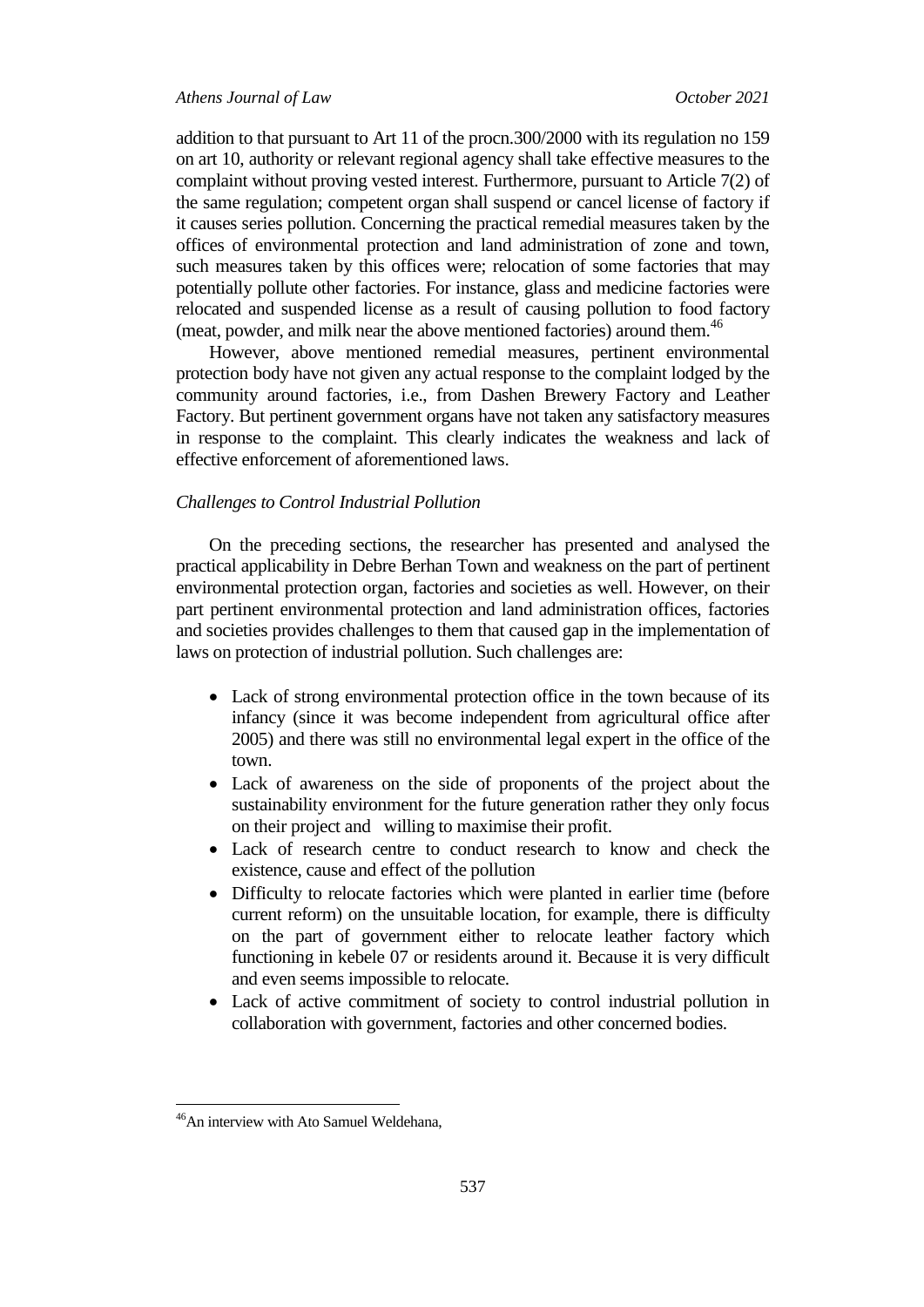addition to that pursuant to Art 11 of the procn.300/2000 with its regulation no 159 on art 10, authority or relevant regional agency shall take effective measures to the complaint without proving vested interest. Furthermore, pursuant to Article 7(2) of the same regulation; competent organ shall suspend or cancel license of factory if it causes series pollution. Concerning the practical remedial measures taken by the offices of environmental protection and land administration of zone and town, such measures taken by this offices were; relocation of some factories that may potentially pollute other factories. For instance, glass and medicine factories were relocated and suspended license as a result of causing pollution to food factory (meat, powder, and milk near the above mentioned factories) around them.<sup>46</sup>

However, above mentioned remedial measures, pertinent environmental protection body have not given any actual response to the complaint lodged by the community around factories, i.e., from Dashen Brewery Factory and Leather Factory. But pertinent government organs have not taken any satisfactory measures in response to the complaint. This clearly indicates the weakness and lack of effective enforcement of aforementioned laws.

# *Challenges to Control Industrial Pollution*

On the preceding sections, the researcher has presented and analysed the practical applicability in Debre Berhan Town and weakness on the part of pertinent environmental protection organ, factories and societies as well. However, on their part pertinent environmental protection and land administration offices, factories and societies provides challenges to them that caused gap in the implementation of laws on protection of industrial pollution. Such challenges are:

- Lack of strong environmental protection office in the town because of its infancy (since it was become independent from agricultural office after 2005) and there was still no environmental legal expert in the office of the town.
- Lack of awareness on the side of proponents of the project about the sustainability environment for the future generation rather they only focus on their project and willing to maximise their profit.
- Lack of research centre to conduct research to know and check the existence, cause and effect of the pollution
- Difficulty to relocate factories which were planted in earlier time (before current reform) on the unsuitable location, for example, there is difficulty on the part of government either to relocate leather factory which functioning in kebele 07 or residents around it. Because it is very difficult and even seems impossible to relocate.
- Lack of active commitment of society to control industrial pollution in collaboration with government, factories and other concerned bodies.

<sup>46</sup>An interview with Ato Samuel Weldehana,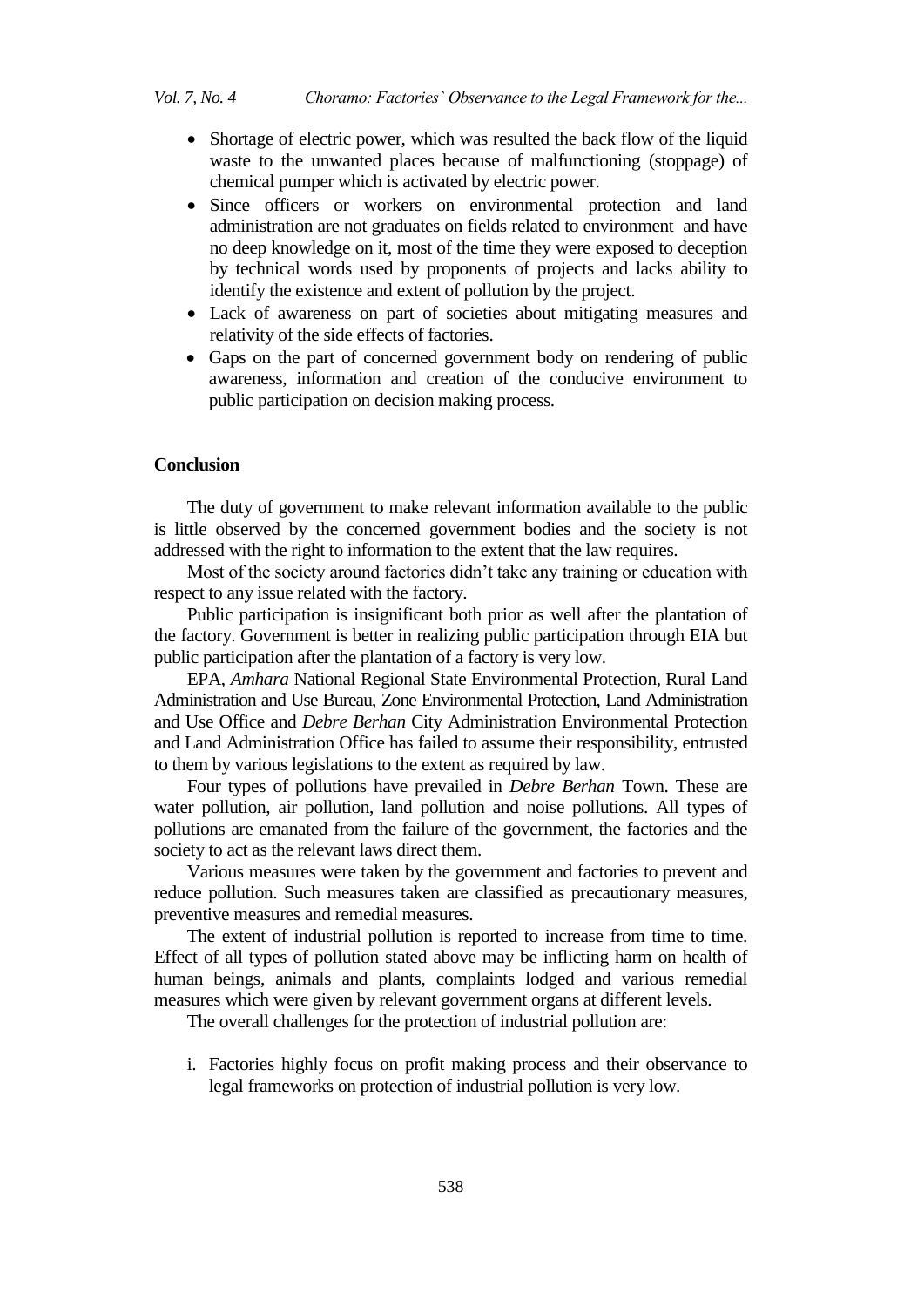- Shortage of electric power, which was resulted the back flow of the liquid waste to the unwanted places because of malfunctioning (stoppage) of chemical pumper which is activated by electric power.
- Since officers or workers on environmental protection and land administration are not graduates on fields related to environment and have no deep knowledge on it, most of the time they were exposed to deception by technical words used by proponents of projects and lacks ability to identify the existence and extent of pollution by the project.
- Lack of awareness on part of societies about mitigating measures and relativity of the side effects of factories.
- Gaps on the part of concerned government body on rendering of public awareness, information and creation of the conducive environment to public participation on decision making process.

# **Conclusion**

The duty of government to make relevant information available to the public is little observed by the concerned government bodies and the society is not addressed with the right to information to the extent that the law requires.

Most of the society around factories didn"t take any training or education with respect to any issue related with the factory.

Public participation is insignificant both prior as well after the plantation of the factory. Government is better in realizing public participation through EIA but public participation after the plantation of a factory is very low.

EPA, *Amhara* National Regional State Environmental Protection, Rural Land Administration and Use Bureau, Zone Environmental Protection, Land Administration and Use Office and *Debre Berhan* City Administration Environmental Protection and Land Administration Office has failed to assume their responsibility, entrusted to them by various legislations to the extent as required by law.

Four types of pollutions have prevailed in *Debre Berhan* Town. These are water pollution, air pollution, land pollution and noise pollutions. All types of pollutions are emanated from the failure of the government, the factories and the society to act as the relevant laws direct them.

Various measures were taken by the government and factories to prevent and reduce pollution. Such measures taken are classified as precautionary measures, preventive measures and remedial measures.

The extent of industrial pollution is reported to increase from time to time. Effect of all types of pollution stated above may be inflicting harm on health of human beings, animals and plants, complaints lodged and various remedial measures which were given by relevant government organs at different levels.

The overall challenges for the protection of industrial pollution are:

i. Factories highly focus on profit making process and their observance to legal frameworks on protection of industrial pollution is very low.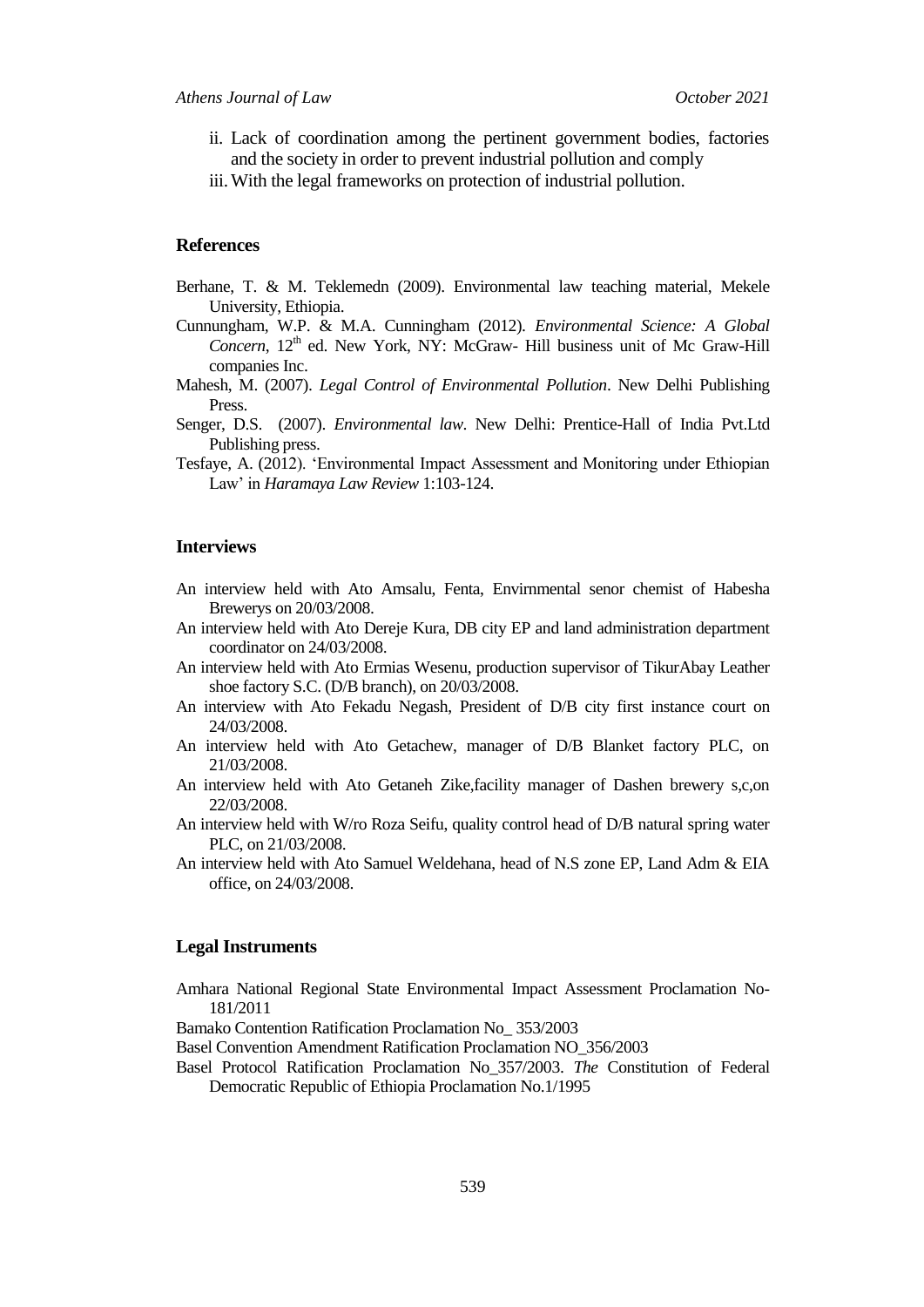- ii. Lack of coordination among the pertinent government bodies, factories and the society in order to prevent industrial pollution and comply
- iii.With the legal frameworks on protection of industrial pollution.

# **References**

- Berhane, T. & M. Teklemedn (2009). Environmental law teaching material, Mekele University, Ethiopia.
- Cunnungham, W.P. & M.A. Cunningham (2012). *Environmental Science: A Global*  Concern, 12<sup>th</sup> ed. New York, NY: McGraw- Hill business unit of Mc Graw-Hill companies Inc.
- Mahesh, M. (2007). *Legal Control of Environmental Pollution*. New Delhi Publishing Press.
- Senger, D.S. (2007). *Environmental law*. New Delhi: Prentice-Hall of India Pvt.Ltd Publishing press.
- Tesfaye, A. (2012). "Environmental Impact Assessment and Monitoring under Ethiopian Law" in *Haramaya Law Review* 1:103-124.

# **Interviews**

- An interview held with Ato Amsalu, Fenta, Envirnmental senor chemist of Habesha Brewerys on 20/03/2008.
- An interview held with Ato Dereje Kura, DB city EP and land administration department coordinator on 24/03/2008.
- An interview held with Ato Ermias Wesenu, production supervisor of TikurAbay Leather shoe factory S.C. (D/B branch), on 20/03/2008.
- An interview with Ato Fekadu Negash, President of D/B city first instance court on 24/03/2008.
- An interview held with Ato Getachew, manager of D/B Blanket factory PLC, on 21/03/2008.
- An interview held with Ato Getaneh Zike,facility manager of Dashen brewery s,c,on 22/03/2008.
- An interview held with W/ro Roza Seifu, quality control head of D/B natural spring water PLC, on 21/03/2008.
- An interview held with Ato Samuel Weldehana, head of N.S zone EP, Land Adm & EIA office, on 24/03/2008.

# **Legal Instruments**

- Amhara National Regional State Environmental Impact Assessment Proclamation No-181/2011
- Bamako Contention Ratification Proclamation No\_ 353/2003
- Basel Convention Amendment Ratification Proclamation NO\_356/2003
- Basel Protocol Ratification Proclamation No\_357/2003. *The* Constitution of Federal Democratic Republic of Ethiopia Proclamation No.1/1995